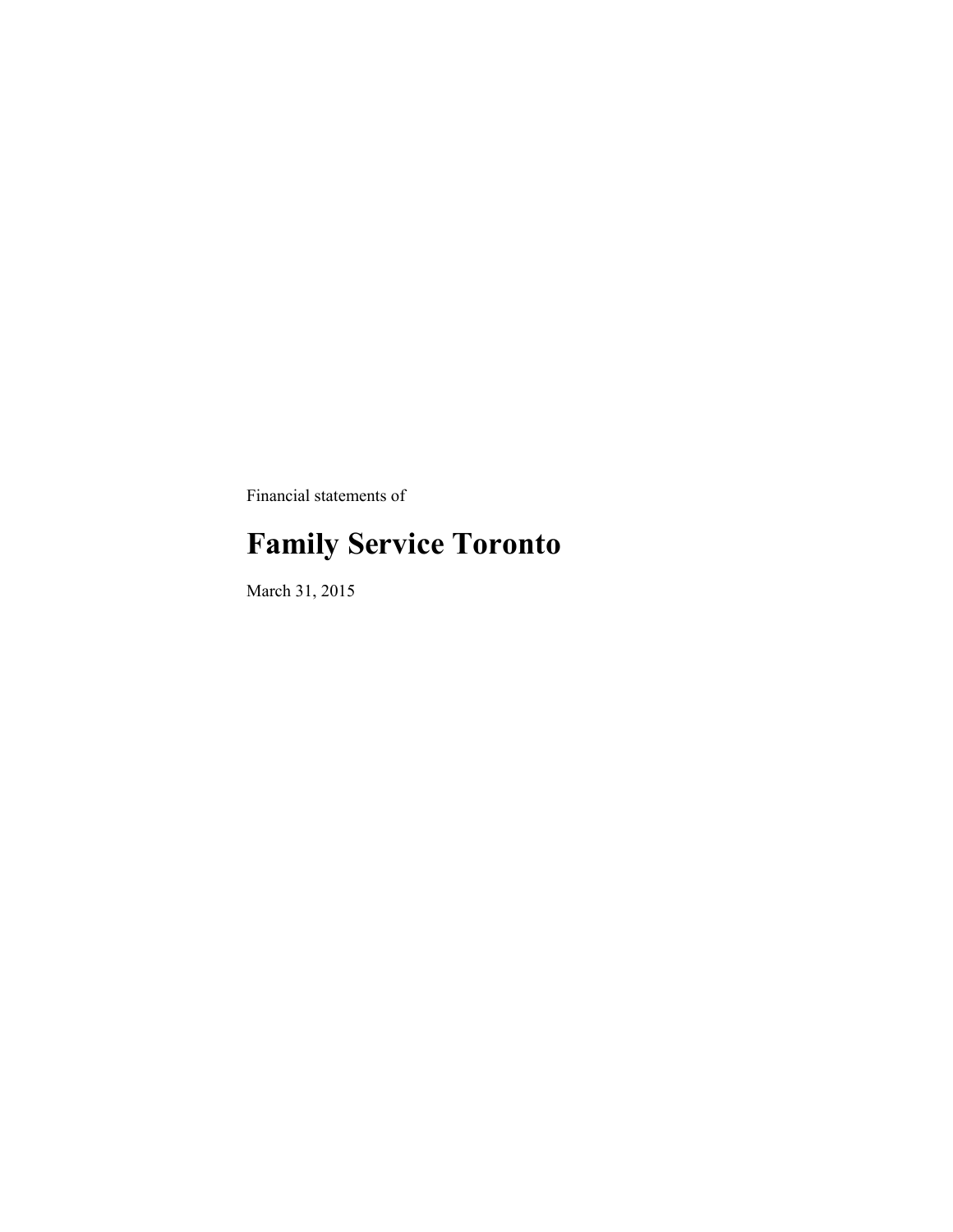Financial statements of

# **Family Service Toronto**

March 31, 2015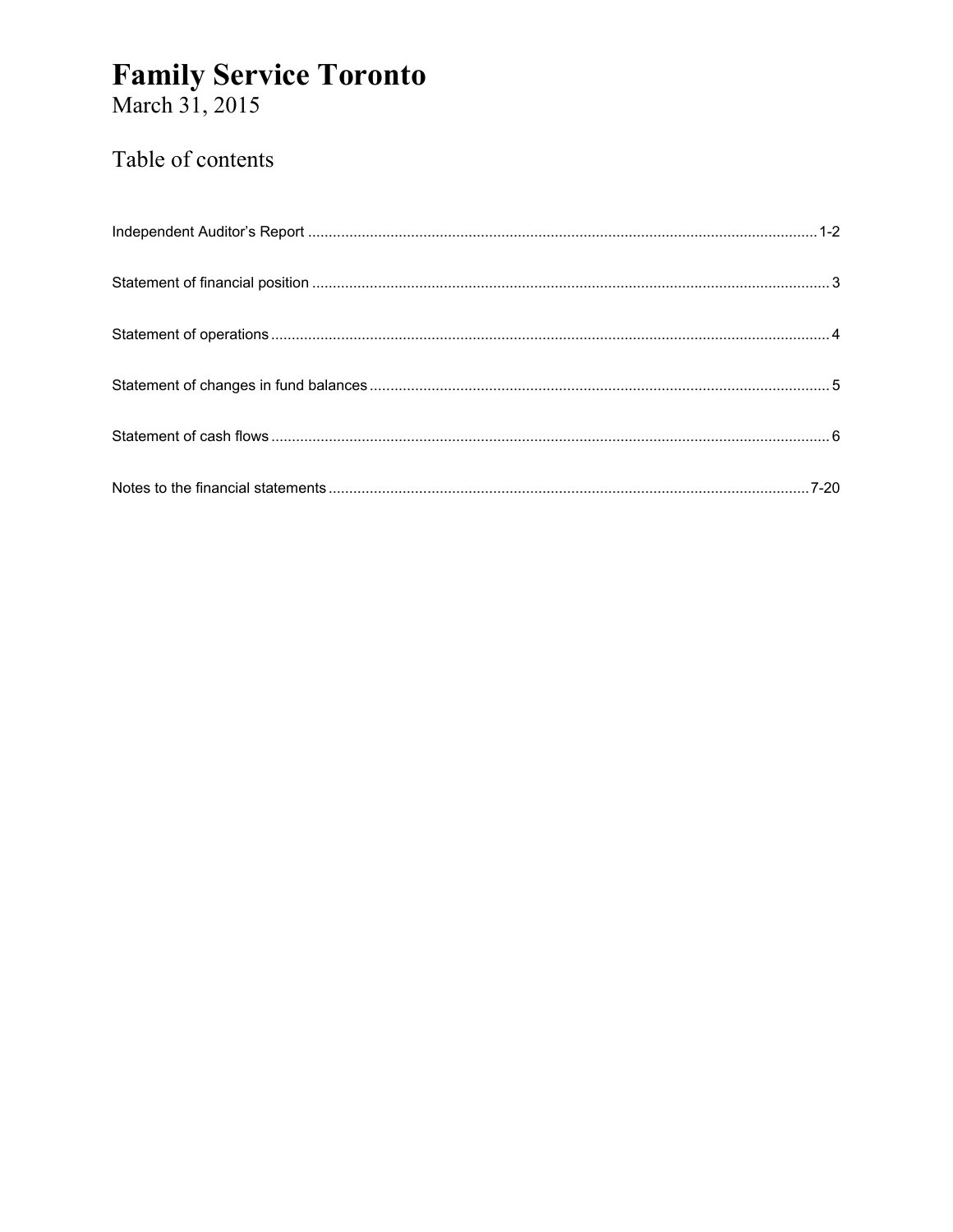# **Family Service Toronto**<br>March 31, 2015

### Table of contents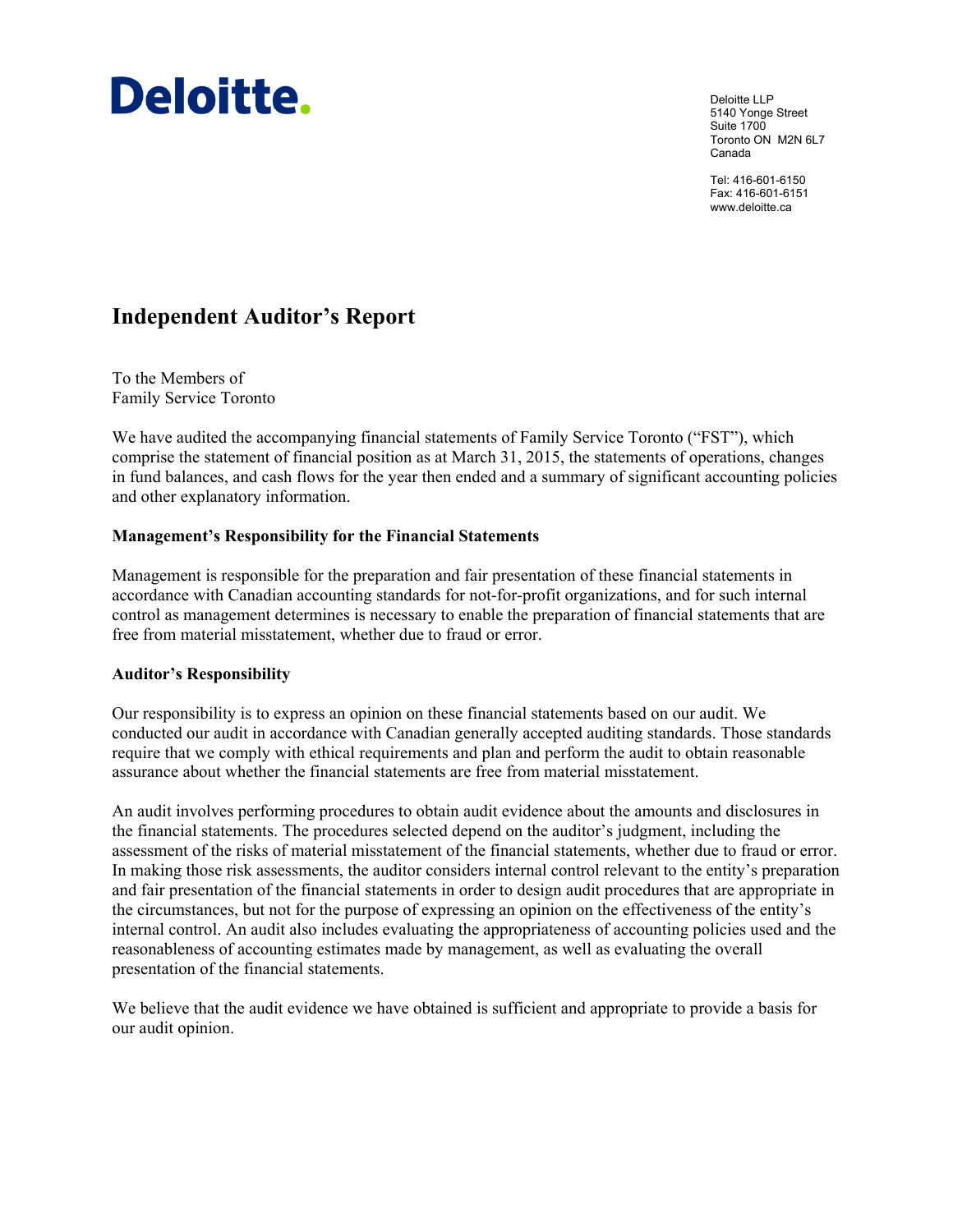

Deloitte LLP 5140 Yonge Street Suite 1700 Toronto ON M2N 6L7 Canada

Tel: 416-601-6150 Fax: 416-601-6151 www.deloitte.ca

### **Independent Auditor's Report**

To the Members of Family Service Toronto

We have audited the accompanying financial statements of Family Service Toronto ("FST"), which comprise the statement of financial position as at March 31, 2015, the statements of operations, changes in fund balances, and cash flows for the year then ended and a summary of significant accounting policies and other explanatory information.

#### **Management's Responsibility for the Financial Statements**

Management is responsible for the preparation and fair presentation of these financial statements in accordance with Canadian accounting standards for not-for-profit organizations, and for such internal control as management determines is necessary to enable the preparation of financial statements that are free from material misstatement, whether due to fraud or error.

#### **Auditor's Responsibility**

Our responsibility is to express an opinion on these financial statements based on our audit. We conducted our audit in accordance with Canadian generally accepted auditing standards. Those standards require that we comply with ethical requirements and plan and perform the audit to obtain reasonable assurance about whether the financial statements are free from material misstatement.

An audit involves performing procedures to obtain audit evidence about the amounts and disclosures in the financial statements. The procedures selected depend on the auditor's judgment, including the assessment of the risks of material misstatement of the financial statements, whether due to fraud or error. In making those risk assessments, the auditor considers internal control relevant to the entity's preparation and fair presentation of the financial statements in order to design audit procedures that are appropriate in the circumstances, but not for the purpose of expressing an opinion on the effectiveness of the entity's internal control. An audit also includes evaluating the appropriateness of accounting policies used and the reasonableness of accounting estimates made by management, as well as evaluating the overall presentation of the financial statements.

We believe that the audit evidence we have obtained is sufficient and appropriate to provide a basis for our audit opinion.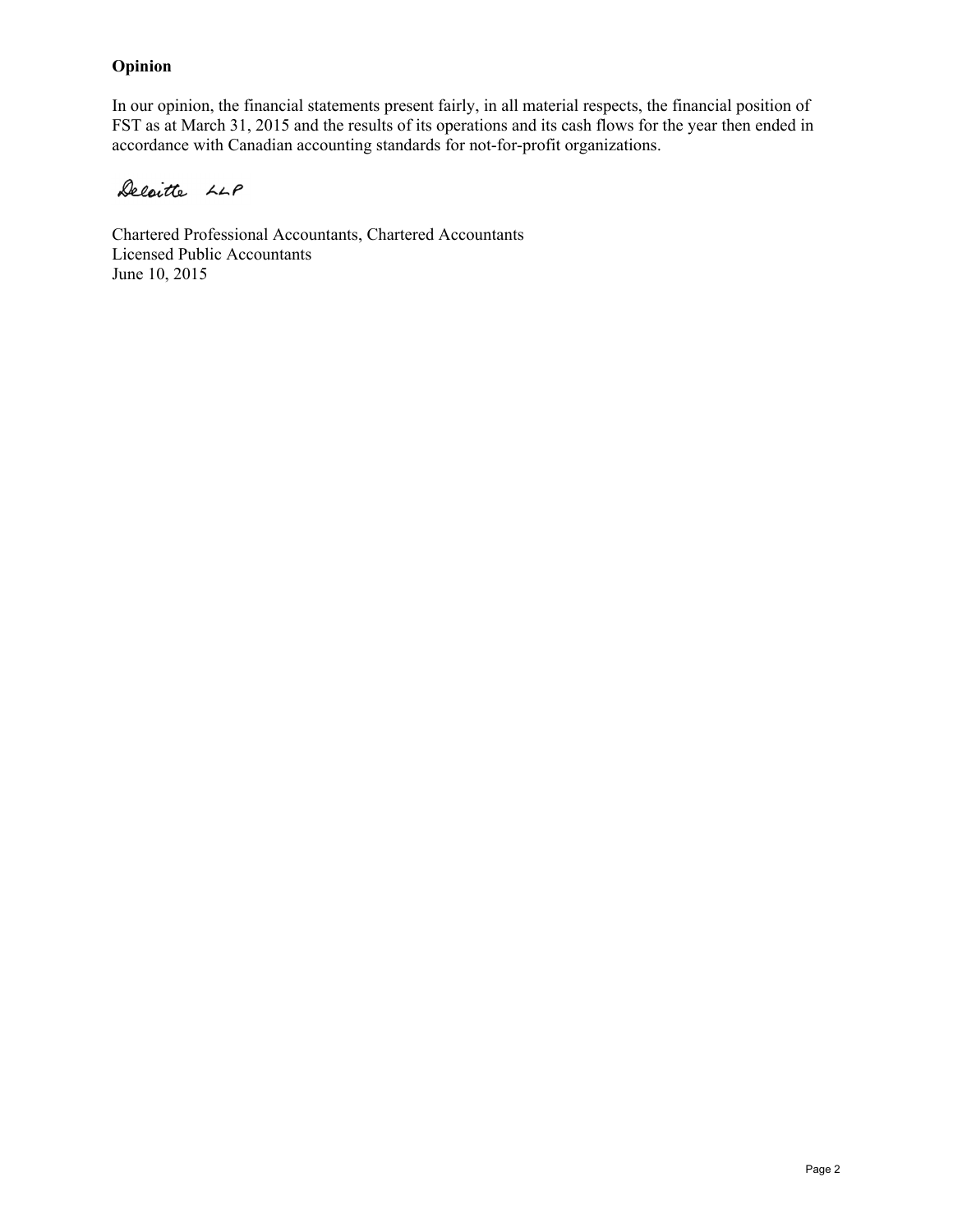#### **Opinion**

In our opinion, the financial statements present fairly, in all material respects, the financial position of FST as at March 31, 2015 and the results of its operations and its cash flows for the year then ended in accordance with Canadian accounting standards for not-for-profit organizations.

Deloitte LLP

Chartered Professional Accountants, Chartered Accountants Licensed Public Accountants June 10, 2015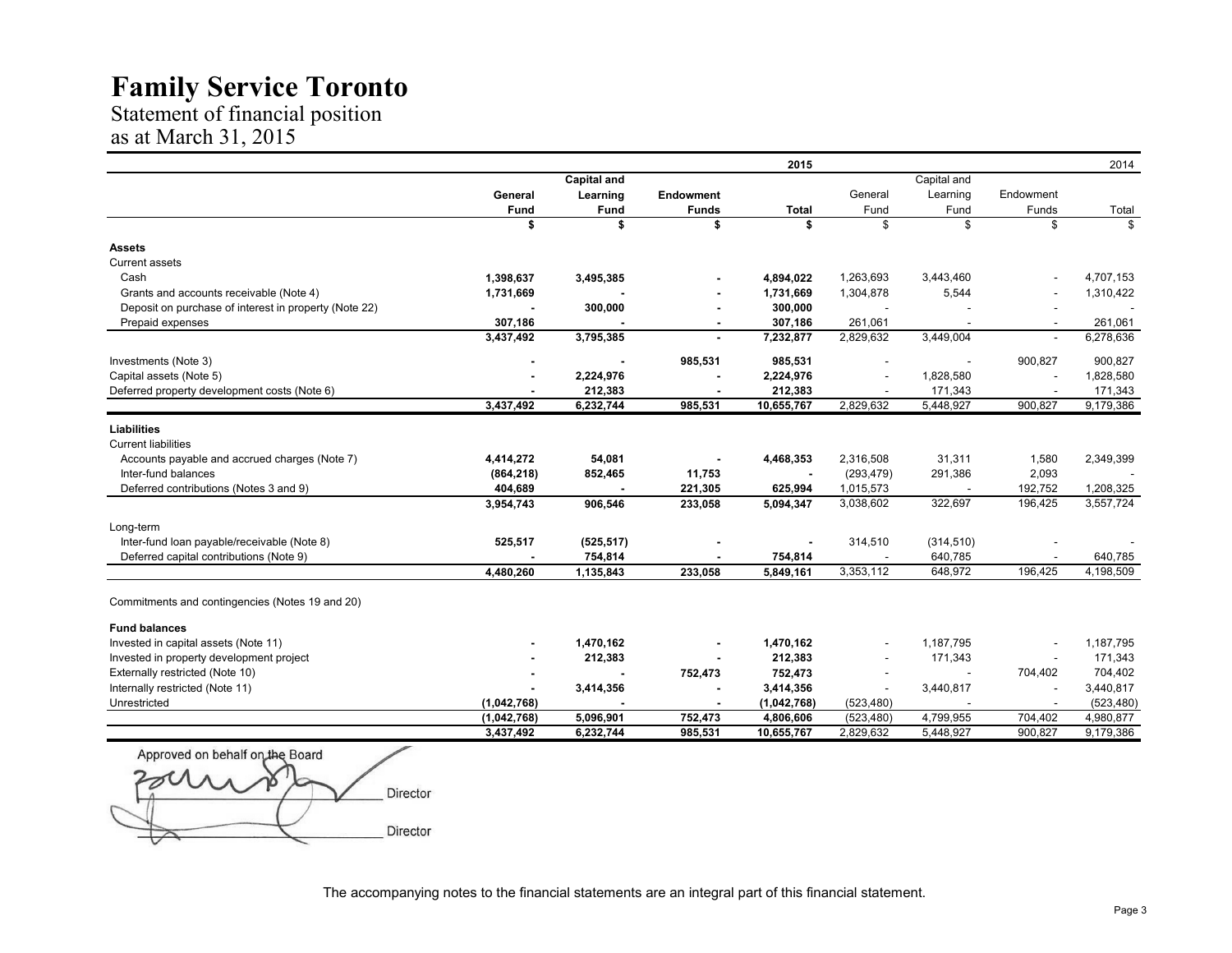Statement of financial position as at March 31, 2015

|                                                       |                |                    |                  | 2015         |                          |                          |                          | 2014       |
|-------------------------------------------------------|----------------|--------------------|------------------|--------------|--------------------------|--------------------------|--------------------------|------------|
|                                                       |                | <b>Capital and</b> |                  |              |                          | Capital and              |                          |            |
|                                                       | General        | Learning           | <b>Endowment</b> |              | General                  | Learning                 | Endowment                |            |
|                                                       | Fund           | Fund               | <b>Funds</b>     | <b>Total</b> | Fund                     | Fund                     | Funds                    | Total      |
|                                                       | \$             | \$                 | \$               | \$           | \$                       | \$                       | \$                       | \$         |
| <b>Assets</b>                                         |                |                    |                  |              |                          |                          |                          |            |
| <b>Current assets</b>                                 |                |                    |                  |              |                          |                          |                          |            |
| Cash                                                  | 1,398,637      | 3,495,385          |                  | 4,894,022    | 1,263,693                | 3,443,460                |                          | 4,707,153  |
| Grants and accounts receivable (Note 4)               | 1,731,669      |                    |                  | 1,731,669    | 1,304,878                | 5,544                    |                          | 1,310,422  |
| Deposit on purchase of interest in property (Note 22) |                | 300,000            |                  | 300,000      |                          |                          |                          |            |
| Prepaid expenses                                      | 307,186        |                    | $\blacksquare$   | 307,186      | 261,061                  | $\overline{\phantom{a}}$ | $\overline{\phantom{a}}$ | 261,061    |
|                                                       | 3,437,492      | 3,795,385          |                  | 7,232,877    | 2,829,632                | 3,449,004                | $\overline{\phantom{a}}$ | 6,278,636  |
| Investments (Note 3)                                  | $\blacksquare$ | $\blacksquare$     | 985,531          | 985,531      | $\overline{\phantom{a}}$ | $\sim$                   | 900,827                  | 900,827    |
| Capital assets (Note 5)                               |                | 2,224,976          |                  | 2,224,976    |                          | 1,828,580                |                          | 1,828,580  |
| Deferred property development costs (Note 6)          |                | 212,383            |                  | 212,383      |                          | 171,343                  |                          | 171,343    |
|                                                       | 3,437,492      | 6,232,744          | 985,531          | 10,655,767   | 2,829,632                | 5,448,927                | 900,827                  | 9,179,386  |
| <b>Liabilities</b>                                    |                |                    |                  |              |                          |                          |                          |            |
| <b>Current liabilities</b>                            |                |                    |                  |              |                          |                          |                          |            |
| Accounts payable and accrued charges (Note 7)         | 4,414,272      | 54,081             |                  | 4,468,353    | 2,316,508                | 31,311                   | 1,580                    | 2,349,399  |
| Inter-fund balances                                   | (864, 218)     | 852,465            | 11,753           |              | (293, 479)               | 291,386                  | 2,093                    |            |
| Deferred contributions (Notes 3 and 9)                | 404,689        |                    | 221,305          | 625,994      | 1,015,573                |                          | 192,752                  | 1,208,325  |
|                                                       | 3,954,743      | 906,546            | 233,058          | 5,094,347    | 3,038,602                | 322,697                  | 196,425                  | 3,557,724  |
| Long-term                                             |                |                    |                  |              |                          |                          |                          |            |
| Inter-fund Ioan payable/receivable (Note 8)           | 525,517        | (525, 517)         |                  |              | 314,510                  | (314, 510)               |                          |            |
| Deferred capital contributions (Note 9)               |                | 754,814            |                  | 754,814      |                          | 640,785                  |                          | 640,785    |
|                                                       | 4,480,260      | 1,135,843          | 233,058          | 5,849,161    | 3,353,112                | 648,972                  | 196,425                  | 4,198,509  |
| Commitments and contingencies (Notes 19 and 20)       |                |                    |                  |              |                          |                          |                          |            |
| <b>Fund balances</b>                                  |                |                    |                  |              |                          |                          |                          |            |
| Invested in capital assets (Note 11)                  |                | 1,470,162          |                  | 1,470,162    |                          | 1,187,795                |                          | 1,187,795  |
| Invested in property development project              |                | 212,383            |                  | 212,383      |                          | 171,343                  | $\overline{\phantom{a}}$ | 171,343    |
| Externally restricted (Note 10)                       |                |                    | 752,473          | 752,473      |                          |                          | 704,402                  | 704,402    |
| Internally restricted (Note 11)                       |                | 3,414,356          |                  | 3,414,356    |                          | 3,440,817                |                          | 3,440,817  |
| Unrestricted                                          | (1,042,768)    |                    |                  | (1,042,768)  | (523, 480)               |                          |                          | (523, 480) |
|                                                       | (1,042,768)    | 5,096,901          | 752,473          | 4,806,606    | (523, 480)               | 4,799,955                | 704,402                  | 4,980,877  |
|                                                       | 3,437,492      | 6,232,744          | 985,531          | 10,655,767   | 2,829,632                | 5,448,927                | 900,827                  | 9,179,386  |

Approved on behalf on the Board  $\blacksquare$  Director $\blacksquare$ Director

The accompanying notes to the financial statements are an integral part of this financial statement.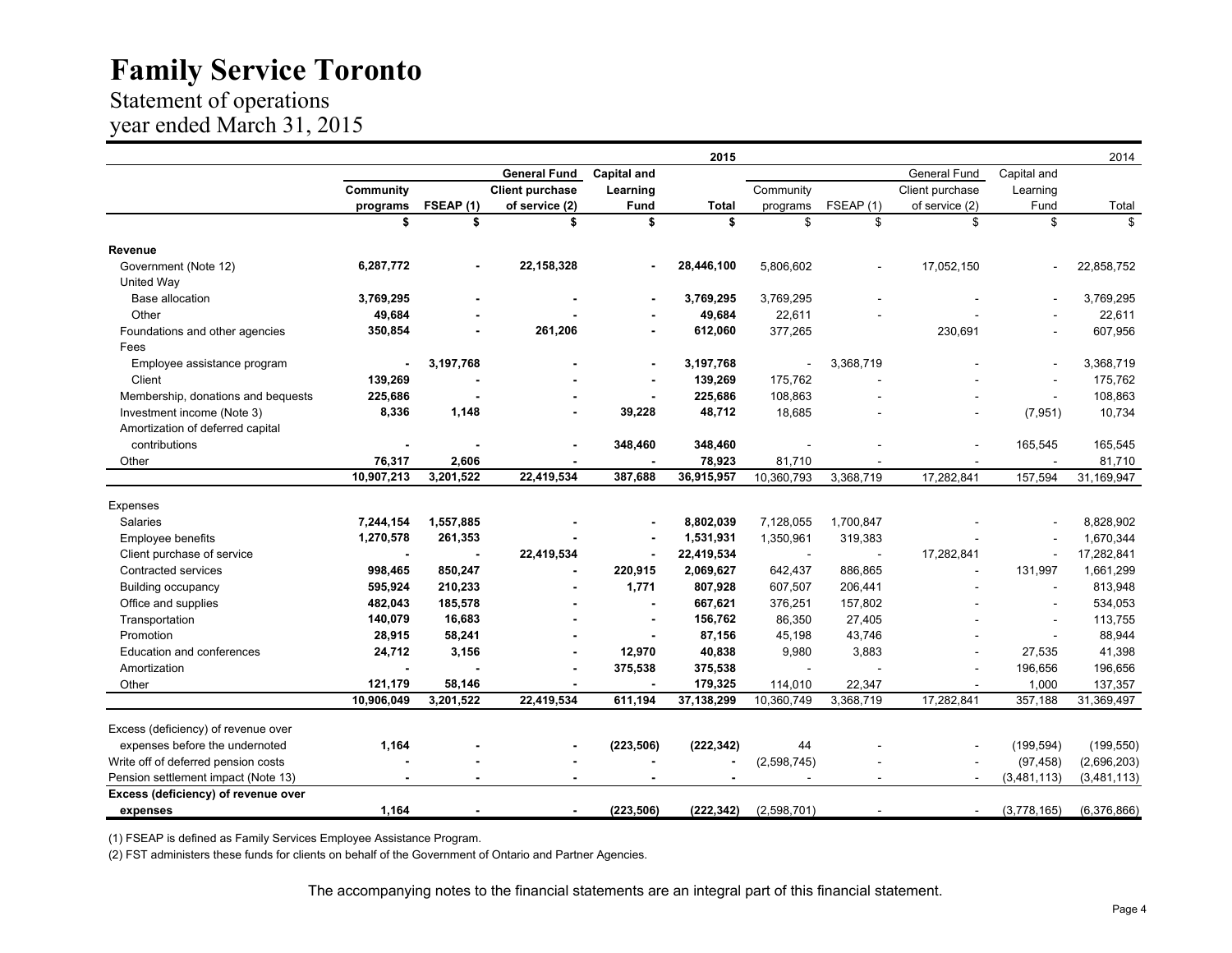### Statement of operations year ended March 31, 2015

|                                     |                          |                          |                          |                          | 2015         |             |           |                 |                          | 2014        |
|-------------------------------------|--------------------------|--------------------------|--------------------------|--------------------------|--------------|-------------|-----------|-----------------|--------------------------|-------------|
|                                     |                          |                          | <b>General Fund</b>      | <b>Capital and</b>       |              |             |           | General Fund    | Capital and              |             |
|                                     | Community                |                          | <b>Client purchase</b>   | Learning                 |              | Community   |           | Client purchase | Learning                 |             |
|                                     | programs                 | FSEAP (1)                | of service (2)           | Fund                     | <b>Total</b> | programs    | FSEAP(1)  | of service (2)  | Fund                     | Total       |
|                                     | \$                       | \$                       | \$                       | \$                       | \$           | \$          | \$        | \$              | \$                       | \$          |
| Revenue                             |                          |                          |                          |                          |              |             |           |                 |                          |             |
| Government (Note 12)                | 6,287,772                | $\blacksquare$           | 22, 158, 328             | $\overline{\phantom{a}}$ | 28,446,100   | 5,806,602   |           | 17,052,150      | ÷,                       | 22,858,752  |
| United Way                          |                          |                          |                          |                          |              |             |           |                 |                          |             |
| <b>Base allocation</b>              | 3,769,295                |                          |                          |                          | 3,769,295    | 3,769,295   |           |                 |                          | 3,769,295   |
| Other                               | 49,684                   |                          |                          |                          | 49,684       | 22,611      |           |                 |                          | 22,611      |
| Foundations and other agencies      | 350,854                  |                          | 261,206                  |                          | 612,060      | 377,265     |           | 230,691         |                          | 607,956     |
| Fees                                |                          |                          |                          |                          |              |             |           |                 |                          |             |
| Employee assistance program         |                          | 3,197,768                |                          | $\overline{\phantom{a}}$ | 3,197,768    |             | 3,368,719 |                 | ä,                       | 3,368,719   |
| Client                              | 139,269                  |                          |                          |                          | 139,269      | 175,762     |           |                 |                          | 175,762     |
| Membership, donations and bequests  | 225,686                  |                          |                          |                          | 225,686      | 108,863     |           |                 | $\overline{\phantom{a}}$ | 108,863     |
| Investment income (Note 3)          | 8,336                    | 1,148                    |                          | 39,228                   | 48,712       | 18,685      |           |                 | (7, 951)                 | 10,734      |
| Amortization of deferred capital    |                          |                          |                          |                          |              |             |           |                 |                          |             |
| contributions                       |                          |                          |                          | 348,460                  | 348,460      |             |           |                 | 165,545                  | 165,545     |
| Other                               | 76,317                   | 2,606                    |                          |                          | 78,923       | 81,710      |           |                 |                          | 81,710      |
|                                     | 10,907,213               | 3,201,522                | 22,419,534               | 387,688                  | 36,915,957   | 10,360,793  | 3,368,719 | 17,282,841      | 157,594                  | 31,169,947  |
| Expenses                            |                          |                          |                          |                          |              |             |           |                 |                          |             |
| Salaries                            | 7,244,154                | 1,557,885                |                          |                          | 8,802,039    | 7,128,055   | 1,700,847 |                 |                          | 8,828,902   |
| <b>Employee benefits</b>            | 1,270,578                | 261,353                  |                          | $\overline{\phantom{a}}$ | 1,531,931    | 1,350,961   | 319,383   |                 |                          | 1,670,344   |
| Client purchase of service          |                          |                          | 22,419,534               | $\overline{\phantom{a}}$ | 22,419,534   |             |           | 17,282,841      | $\overline{\phantom{a}}$ | 17,282,841  |
| Contracted services                 | 998,465                  | 850,247                  |                          | 220,915                  | 2,069,627    | 642,437     | 886,865   |                 | 131,997                  | 1,661,299   |
| <b>Building occupancy</b>           | 595,924                  | 210,233                  |                          | 1,771                    | 807,928      | 607,507     | 206,441   |                 | ÷,                       | 813,948     |
| Office and supplies                 | 482,043                  | 185,578                  |                          | $\blacksquare$           | 667,621      | 376,251     | 157,802   |                 | ä,                       | 534,053     |
| Transportation                      | 140,079                  | 16,683                   |                          | $\overline{\phantom{a}}$ | 156,762      | 86,350      | 27,405    |                 | ÷,                       | 113,755     |
| Promotion                           | 28,915                   | 58,241                   |                          | $\blacksquare$           | 87,156       | 45,198      | 43,746    |                 | $\sim$                   | 88,944      |
| Education and conferences           | 24,712                   | 3,156                    |                          | 12,970                   | 40,838       | 9,980       | 3,883     |                 | 27,535                   | 41,398      |
| Amortization                        | $\overline{\phantom{a}}$ |                          |                          | 375,538                  | 375,538      | $\sim$      |           |                 | 196,656                  | 196,656     |
| Other                               | 121,179                  | 58,146                   |                          |                          | 179,325      | 114,010     | 22,347    |                 | 1,000                    | 137,357     |
|                                     | 10,906,049               | 3,201,522                | 22,419,534               | 611,194                  | 37, 138, 299 | 10,360,749  | 3,368,719 | 17,282,841      | 357,188                  | 31,369,497  |
|                                     |                          |                          |                          |                          |              |             |           |                 |                          |             |
| Excess (deficiency) of revenue over |                          |                          |                          |                          |              |             |           |                 |                          |             |
| expenses before the undernoted      | 1,164                    |                          |                          | (223, 506)               | (222, 342)   | 44          |           |                 | (199, 594)               | (199, 550)  |
| Write off of deferred pension costs |                          |                          |                          |                          |              | (2,598,745) |           |                 | (97, 458)                | (2,696,203) |
| Pension settlement impact (Note 13) | $\blacksquare$           | $\overline{\phantom{0}}$ | $\overline{\phantom{0}}$ |                          |              |             |           |                 | (3,481,113)              | (3,481,113) |
| Excess (deficiency) of revenue over |                          |                          |                          |                          |              |             |           |                 |                          |             |
| expenses                            | 1,164                    |                          |                          | (223, 506)               | (222, 342)   | (2,598,701) |           |                 | (3,778,165)              | (6,376,866) |

(1) FSEAP is defined as Family Services Employee Assistance Program.

(2) FST administers these funds for clients on behalf of the Government of Ontario and Partner Agencies.

The accompanying notes to the financial statements are an integral part of this financial statement.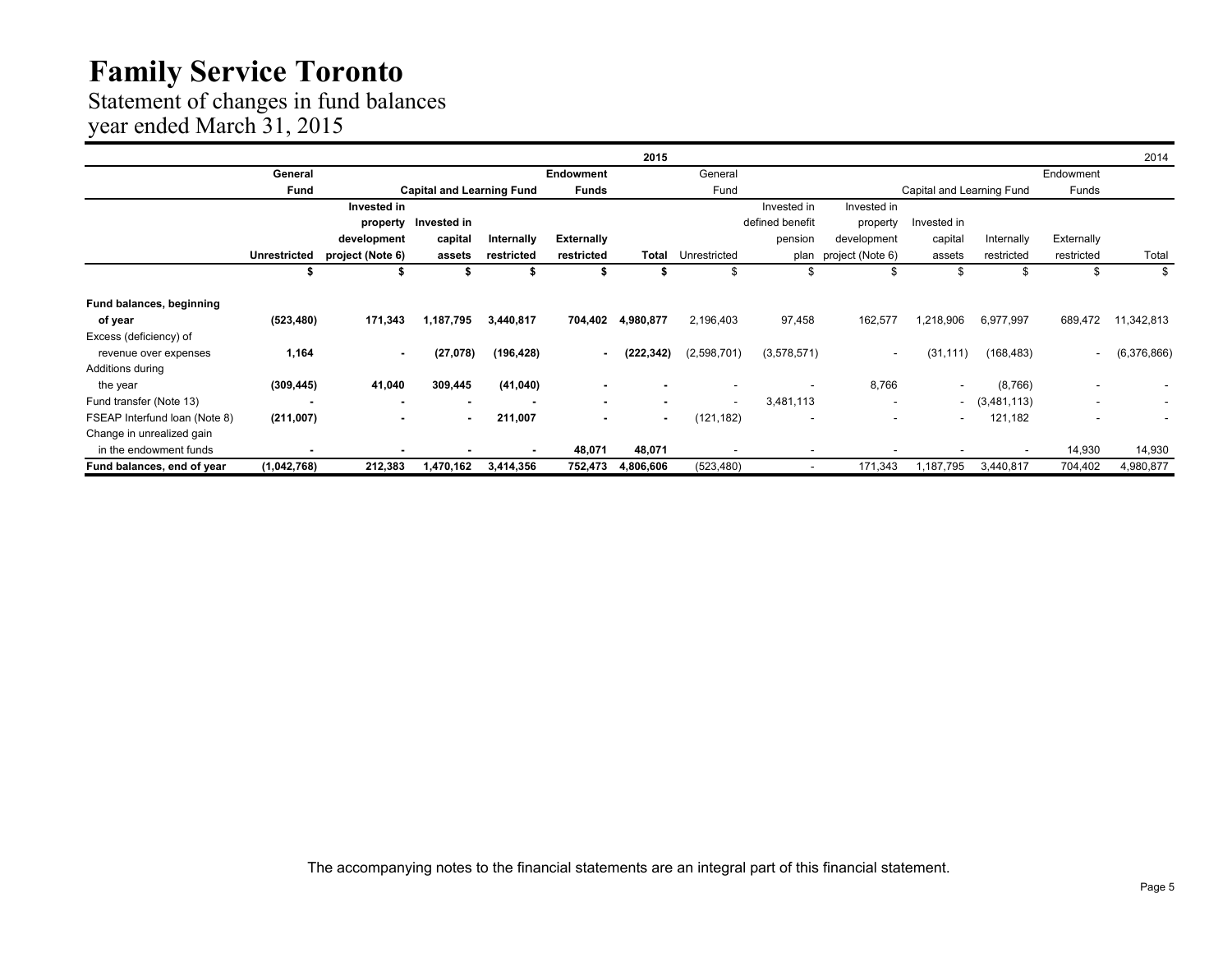### Statement of changes in fund balances

year ended March 31, 2015

|                               |                     |                  |                                  |            |                   | 2015           |                          |                 |                          |                           |                          |                          | 2014        |
|-------------------------------|---------------------|------------------|----------------------------------|------------|-------------------|----------------|--------------------------|-----------------|--------------------------|---------------------------|--------------------------|--------------------------|-------------|
|                               | General             |                  |                                  |            | <b>Endowment</b>  |                | General                  |                 |                          |                           |                          | Endowment                |             |
|                               | Fund                |                  | <b>Capital and Learning Fund</b> |            | <b>Funds</b>      |                | Fund                     |                 |                          | Capital and Learning Fund |                          | Funds                    |             |
|                               |                     | Invested in      |                                  |            |                   |                |                          | Invested in     | Invested in              |                           |                          |                          |             |
|                               |                     | property         | Invested in                      |            |                   |                |                          | defined benefit | property                 | Invested in               |                          |                          |             |
|                               |                     | development      | capital                          | Internally | <b>Externally</b> |                |                          | pension         | development              | capital                   | Internally               | Externally               |             |
|                               | <b>Unrestricted</b> | project (Note 6) | assets                           | restricted | restricted        | Total          | Unrestricted             | plan            | project (Note 6)         | assets                    | restricted               | restricted               | Total       |
|                               |                     |                  |                                  |            | \$                |                | \$                       | ж,              | \$                       | \$                        | \$                       | \$                       | \$          |
| Fund balances, beginning      |                     |                  |                                  |            |                   |                |                          |                 |                          |                           |                          |                          |             |
| of year                       | (523, 480)          | 171,343          | 1,187,795                        | 3,440,817  | 704,402           | 4,980,877      | 2,196,403                | 97,458          | 162,577                  | 1,218,906                 | 6,977,997                | 689,472                  | 11,342,813  |
| Excess (deficiency) of        |                     |                  |                                  |            |                   |                |                          |                 |                          |                           |                          |                          |             |
| revenue over expenses         | 1,164               |                  | (27,078)                         | (196, 428) | ۰.                | (222, 342)     | (2,598,701)              | (3,578,571)     | $\overline{\phantom{a}}$ | (31, 111)                 | (168, 483)               | $\overline{\phantom{a}}$ | (6,376,866) |
| Additions during              |                     |                  |                                  |            |                   |                |                          |                 |                          |                           |                          |                          |             |
| the year                      | (309, 445)          | 41,040           | 309,445                          | (41, 040)  |                   |                |                          |                 | 8,766                    | $\overline{\phantom{a}}$  | (8,766)                  |                          |             |
| Fund transfer (Note 13)       |                     | $\blacksquare$   | $\overline{\phantom{a}}$         |            | $\blacksquare$    | ٠              | $\overline{\phantom{a}}$ | 3,481,113       | $\overline{\phantom{a}}$ | $\sim$                    | (3,481,113)              | $\overline{\phantom{a}}$ |             |
| FSEAP Interfund Ioan (Note 8) | (211,007)           |                  | $\blacksquare$                   | 211,007    | $\blacksquare$    | $\blacksquare$ | (121, 182)               | ٠               | $\overline{\phantom{a}}$ | $\overline{\phantom{a}}$  | 121,182                  | $\overline{\phantom{a}}$ |             |
| Change in unrealized gain     |                     |                  |                                  |            |                   |                |                          |                 |                          |                           |                          |                          |             |
| in the endowment funds        |                     |                  |                                  |            | 48,071            | 48,071         |                          |                 |                          |                           | $\overline{\phantom{a}}$ | 14,930                   | 14,930      |
| Fund balances, end of year    | (1,042,768)         | 212,383          | 1,470,162                        | 3,414,356  | 752,473           | 4,806,606      | (523, 480)               |                 | 171,343                  | 1,187,795                 | 3,440,817                | 704,402                  | 4,980,877   |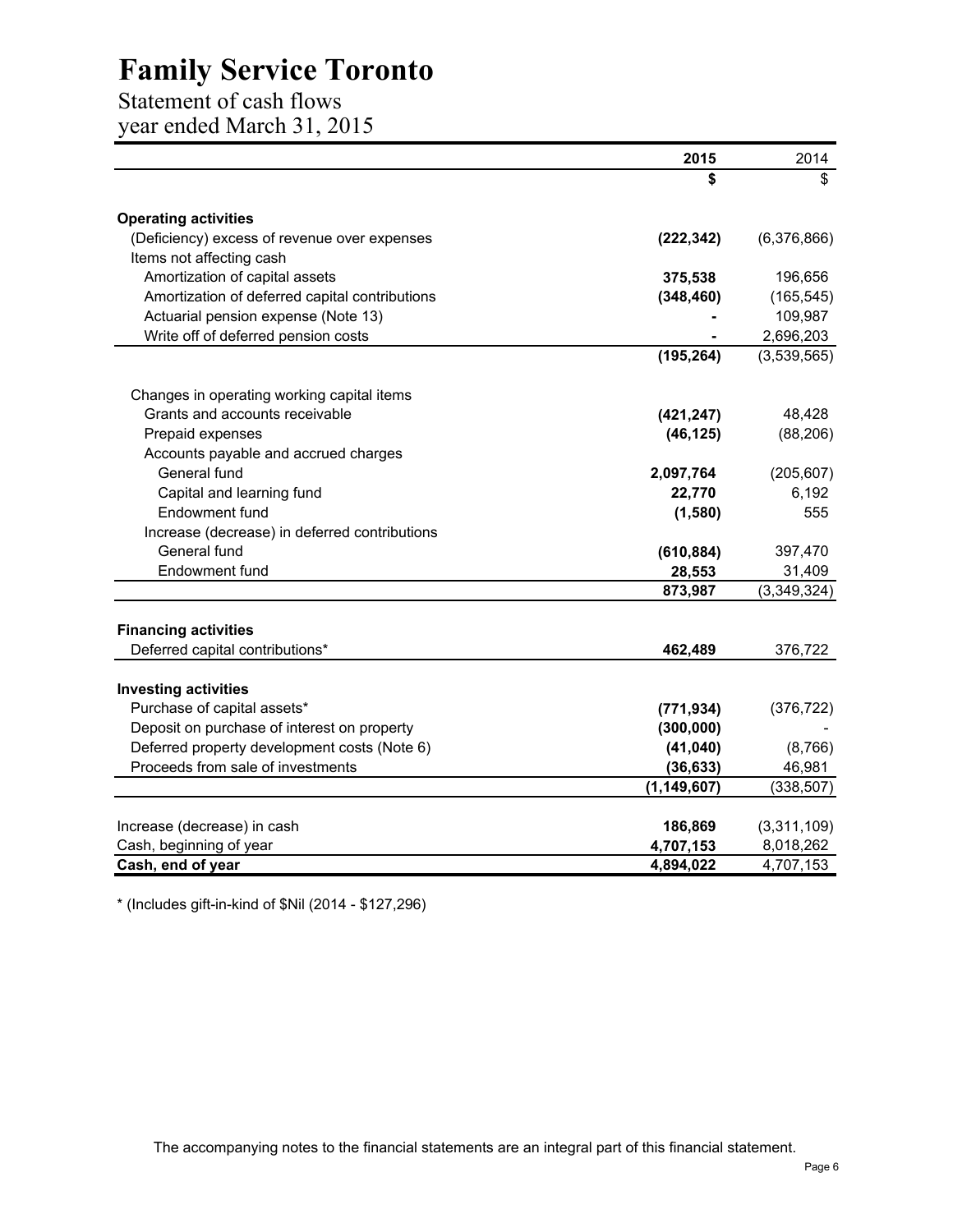# Statement of cash flows

year ended March 31, 2015

|                                                            | 2015          | 2014        |
|------------------------------------------------------------|---------------|-------------|
|                                                            | \$            | \$          |
| <b>Operating activities</b>                                |               |             |
| (Deficiency) excess of revenue over expenses               | (222, 342)    | (6,376,866) |
| Items not affecting cash                                   |               |             |
| Amortization of capital assets                             | 375,538       | 196,656     |
| Amortization of deferred capital contributions             | (348, 460)    | (165, 545)  |
| Actuarial pension expense (Note 13)                        |               | 109,987     |
| Write off of deferred pension costs                        |               | 2,696,203   |
|                                                            | (195, 264)    | (3,539,565) |
|                                                            |               |             |
| Changes in operating working capital items                 |               |             |
| Grants and accounts receivable                             | (421, 247)    | 48,428      |
| Prepaid expenses                                           | (46, 125)     | (88, 206)   |
| Accounts payable and accrued charges                       |               |             |
| General fund                                               | 2,097,764     | (205, 607)  |
| Capital and learning fund                                  | 22,770        | 6,192       |
| Endowment fund                                             | (1,580)       | 555         |
| Increase (decrease) in deferred contributions              |               |             |
| General fund                                               | (610, 884)    | 397,470     |
| Endowment fund                                             | 28,553        | 31,409      |
|                                                            | 873,987       | (3,349,324) |
| <b>Financing activities</b>                                |               |             |
| Deferred capital contributions*                            | 462,489       | 376,722     |
|                                                            |               |             |
| <b>Investing activities</b><br>Purchase of capital assets* |               |             |
|                                                            | (771, 934)    | (376, 722)  |
| Deposit on purchase of interest on property                | (300,000)     |             |
| Deferred property development costs (Note 6)               | (41, 040)     | (8,766)     |
| Proceeds from sale of investments                          | (36, 633)     | 46,981      |
|                                                            | (1, 149, 607) | (338, 507)  |
| Increase (decrease) in cash                                | 186,869       | (3,311,109) |
| Cash, beginning of year                                    | 4,707,153     | 8,018,262   |
| Cash, end of year                                          | 4,894,022     | 4,707,153   |
|                                                            |               |             |

\* (Includes gift-in-kind of \$Nil (2014 - \$127,296)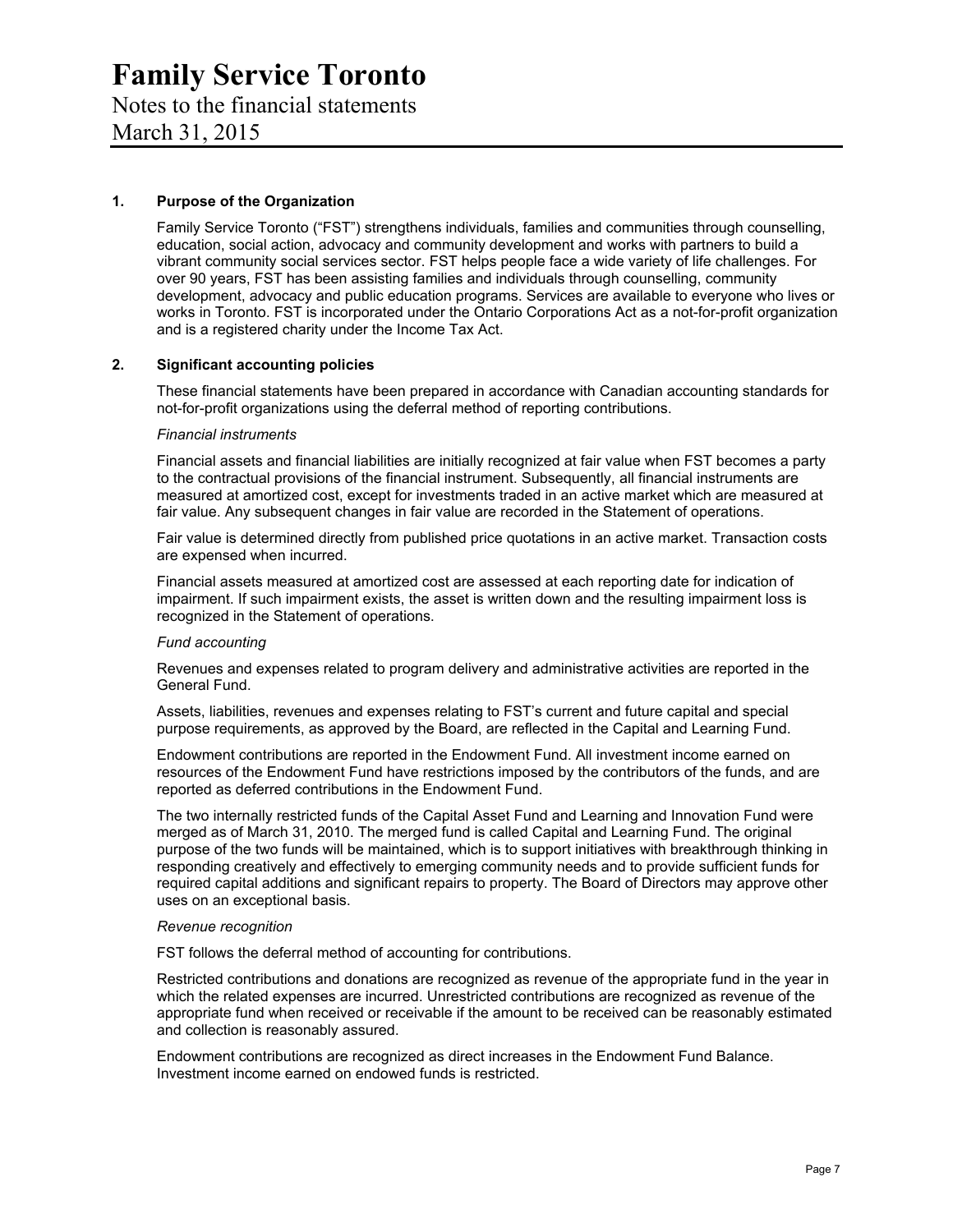# Notes to the financial statements

March 31, 2015

#### **1. Purpose of the Organization**

Family Service Toronto ("FST") strengthens individuals, families and communities through counselling, education, social action, advocacy and community development and works with partners to build a vibrant community social services sector. FST helps people face a wide variety of life challenges. For over 90 years, FST has been assisting families and individuals through counselling, community development, advocacy and public education programs. Services are available to everyone who lives or works in Toronto. FST is incorporated under the Ontario Corporations Act as a not-for-profit organization and is a registered charity under the Income Tax Act.

#### **2. Significant accounting policies**

These financial statements have been prepared in accordance with Canadian accounting standards for not-for-profit organizations using the deferral method of reporting contributions.

#### *Financial instruments*

Financial assets and financial liabilities are initially recognized at fair value when FST becomes a party to the contractual provisions of the financial instrument. Subsequently, all financial instruments are measured at amortized cost, except for investments traded in an active market which are measured at fair value. Any subsequent changes in fair value are recorded in the Statement of operations.

Fair value is determined directly from published price quotations in an active market. Transaction costs are expensed when incurred.

Financial assets measured at amortized cost are assessed at each reporting date for indication of impairment. If such impairment exists, the asset is written down and the resulting impairment loss is recognized in the Statement of operations.

#### *Fund accounting*

Revenues and expenses related to program delivery and administrative activities are reported in the General Fund.

Assets, liabilities, revenues and expenses relating to FST's current and future capital and special purpose requirements, as approved by the Board, are reflected in the Capital and Learning Fund.

Endowment contributions are reported in the Endowment Fund. All investment income earned on resources of the Endowment Fund have restrictions imposed by the contributors of the funds, and are reported as deferred contributions in the Endowment Fund.

The two internally restricted funds of the Capital Asset Fund and Learning and Innovation Fund were merged as of March 31, 2010. The merged fund is called Capital and Learning Fund. The original purpose of the two funds will be maintained, which is to support initiatives with breakthrough thinking in responding creatively and effectively to emerging community needs and to provide sufficient funds for required capital additions and significant repairs to property. The Board of Directors may approve other uses on an exceptional basis.

#### *Revenue recognition*

FST follows the deferral method of accounting for contributions.

Restricted contributions and donations are recognized as revenue of the appropriate fund in the year in which the related expenses are incurred. Unrestricted contributions are recognized as revenue of the appropriate fund when received or receivable if the amount to be received can be reasonably estimated and collection is reasonably assured.

Endowment contributions are recognized as direct increases in the Endowment Fund Balance. Investment income earned on endowed funds is restricted.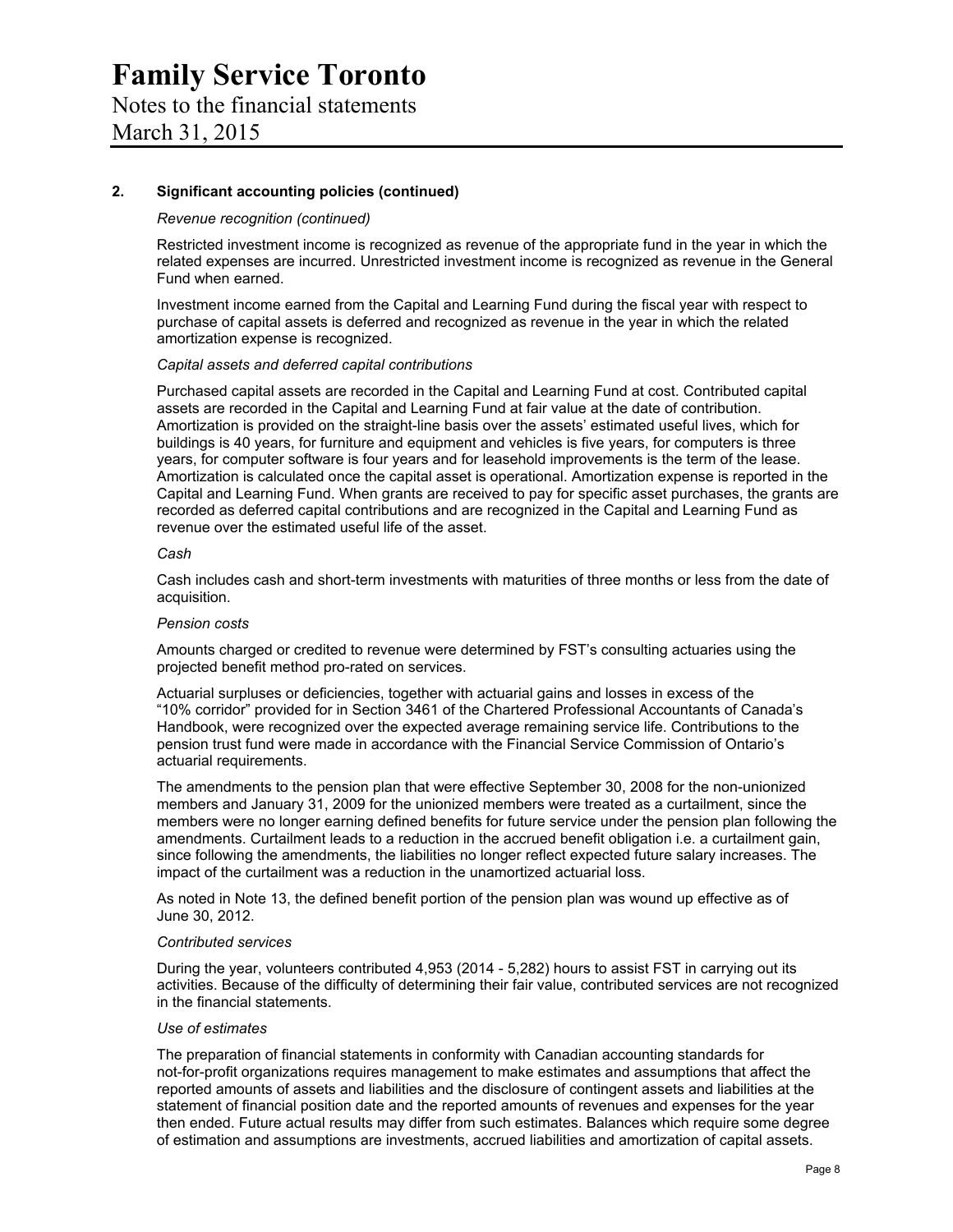#### **2. Significant accounting policies (continued)**

#### *Revenue recognition (continued)*

Restricted investment income is recognized as revenue of the appropriate fund in the year in which the related expenses are incurred. Unrestricted investment income is recognized as revenue in the General Fund when earned.

Investment income earned from the Capital and Learning Fund during the fiscal year with respect to purchase of capital assets is deferred and recognized as revenue in the year in which the related amortization expense is recognized.

#### *Capital assets and deferred capital contributions*

Purchased capital assets are recorded in the Capital and Learning Fund at cost. Contributed capital assets are recorded in the Capital and Learning Fund at fair value at the date of contribution. Amortization is provided on the straight-line basis over the assets' estimated useful lives, which for buildings is 40 years, for furniture and equipment and vehicles is five years, for computers is three years, for computer software is four years and for leasehold improvements is the term of the lease. Amortization is calculated once the capital asset is operational. Amortization expense is reported in the Capital and Learning Fund. When grants are received to pay for specific asset purchases, the grants are recorded as deferred capital contributions and are recognized in the Capital and Learning Fund as revenue over the estimated useful life of the asset.

#### *Cash*

Cash includes cash and short-term investments with maturities of three months or less from the date of acquisition.

#### *Pension costs*

Amounts charged or credited to revenue were determined by FST's consulting actuaries using the projected benefit method pro-rated on services.

Actuarial surpluses or deficiencies, together with actuarial gains and losses in excess of the "10% corridor" provided for in Section 3461 of the Chartered Professional Accountants of Canada's Handbook, were recognized over the expected average remaining service life. Contributions to the pension trust fund were made in accordance with the Financial Service Commission of Ontario's actuarial requirements.

The amendments to the pension plan that were effective September 30, 2008 for the non-unionized members and January 31, 2009 for the unionized members were treated as a curtailment, since the members were no longer earning defined benefits for future service under the pension plan following the amendments. Curtailment leads to a reduction in the accrued benefit obligation i.e. a curtailment gain, since following the amendments, the liabilities no longer reflect expected future salary increases. The impact of the curtailment was a reduction in the unamortized actuarial loss.

As noted in Note 13, the defined benefit portion of the pension plan was wound up effective as of June 30, 2012.

#### *Contributed services*

During the year, volunteers contributed 4,953 (2014 - 5,282) hours to assist FST in carrying out its activities. Because of the difficulty of determining their fair value, contributed services are not recognized in the financial statements.

#### *Use of estimates*

The preparation of financial statements in conformity with Canadian accounting standards for not-for-profit organizations requires management to make estimates and assumptions that affect the reported amounts of assets and liabilities and the disclosure of contingent assets and liabilities at the statement of financial position date and the reported amounts of revenues and expenses for the year then ended. Future actual results may differ from such estimates. Balances which require some degree of estimation and assumptions are investments, accrued liabilities and amortization of capital assets.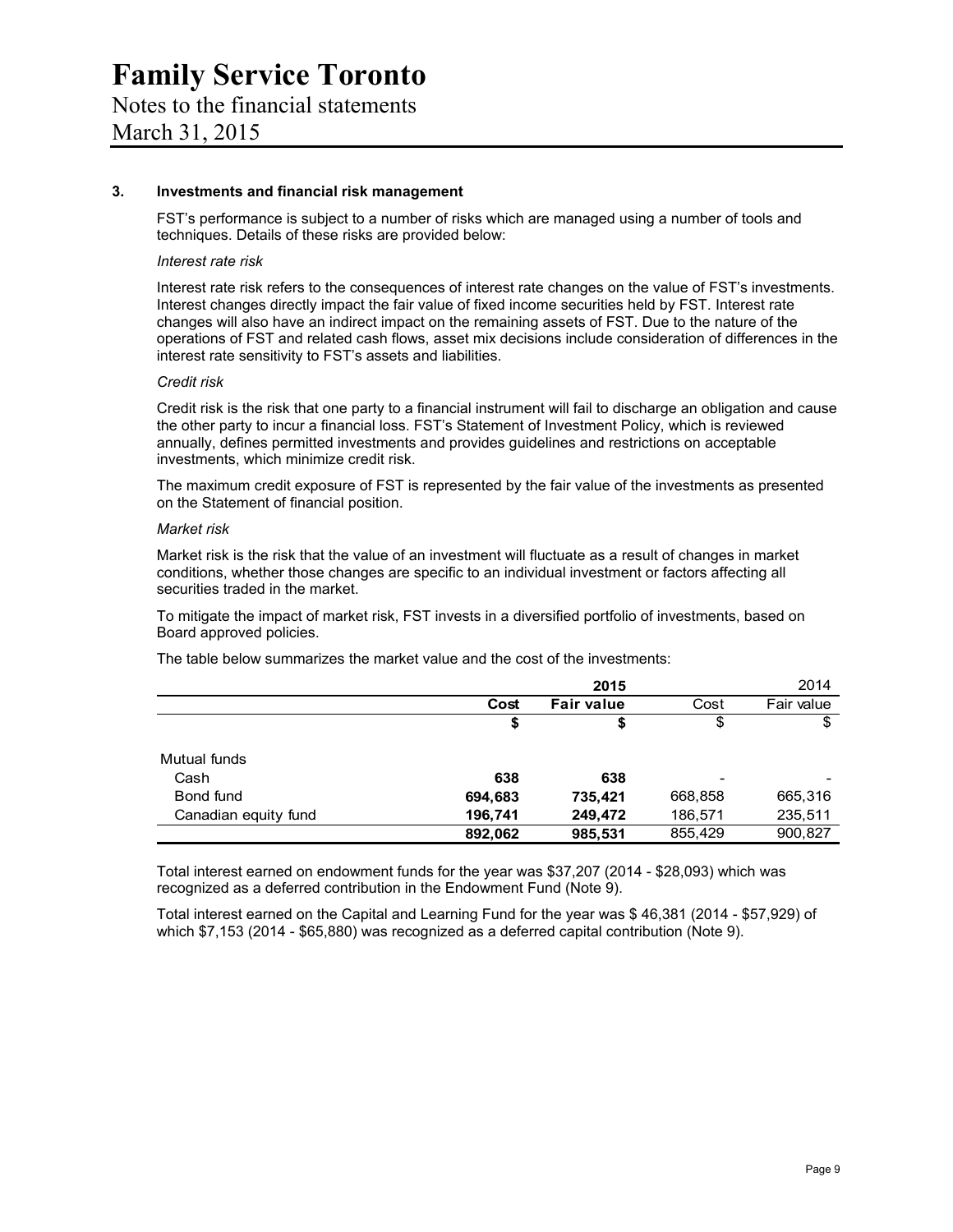#### **3. Investments and financial risk management**

FST's performance is subject to a number of risks which are managed using a number of tools and techniques. Details of these risks are provided below:

#### *Interest rate risk*

Interest rate risk refers to the consequences of interest rate changes on the value of FST's investments. Interest changes directly impact the fair value of fixed income securities held by FST. Interest rate changes will also have an indirect impact on the remaining assets of FST. Due to the nature of the operations of FST and related cash flows, asset mix decisions include consideration of differences in the interest rate sensitivity to FST's assets and liabilities.

#### *Credit risk*

Credit risk is the risk that one party to a financial instrument will fail to discharge an obligation and cause the other party to incur a financial loss. FST's Statement of Investment Policy, which is reviewed annually, defines permitted investments and provides guidelines and restrictions on acceptable investments, which minimize credit risk.

The maximum credit exposure of FST is represented by the fair value of the investments as presented on the Statement of financial position.

#### *Market risk*

Market risk is the risk that the value of an investment will fluctuate as a result of changes in market conditions, whether those changes are specific to an individual investment or factors affecting all securities traded in the market.

To mitigate the impact of market risk, FST invests in a diversified portfolio of investments, based on Board approved policies.

The table below summarizes the market value and the cost of the investments:

|                      |         | 2015              |         | 2014       |
|----------------------|---------|-------------------|---------|------------|
|                      | Cost    | <b>Fair value</b> | Cost    | Fair value |
|                      | \$      | S                 | \$      |            |
| Mutual funds         |         |                   |         |            |
| Cash                 | 638     | 638               |         |            |
| Bond fund            | 694,683 | 735,421           | 668,858 | 665,316    |
| Canadian equity fund | 196,741 | 249,472           | 186,571 | 235,511    |
|                      | 892,062 | 985,531           | 855,429 | 900,827    |

Total interest earned on endowment funds for the year was \$37,207 (2014 - \$28,093) which was recognized as a deferred contribution in the Endowment Fund (Note 9).

Total interest earned on the Capital and Learning Fund for the year was \$ 46,381 (2014 - \$57,929) of which \$7,153 (2014 - \$65,880) was recognized as a deferred capital contribution (Note 9).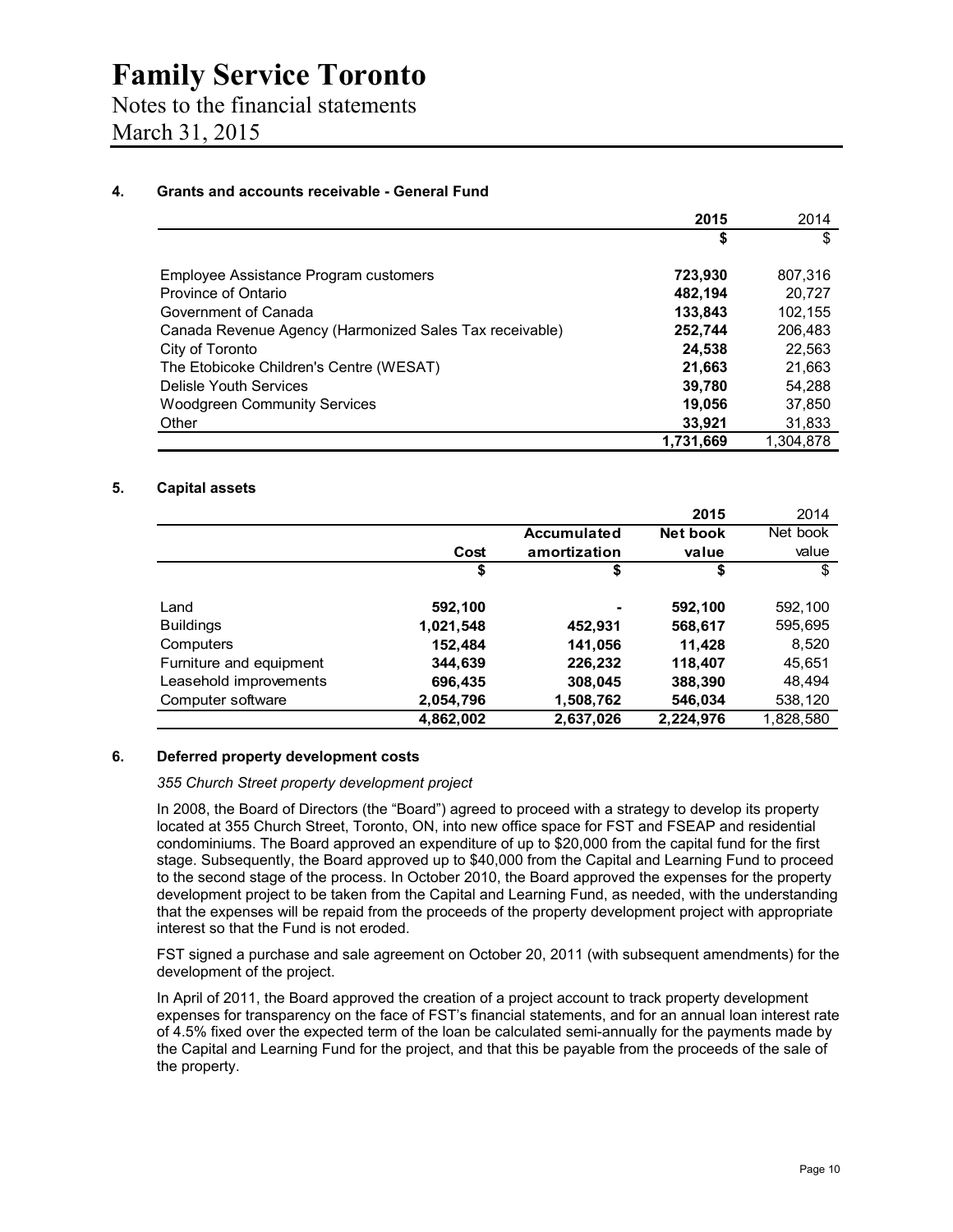### Notes to the financial statements March 31, 2015

#### **4. Grants and accounts receivable - General Fund**

|                                                         | 2015      | 2014      |
|---------------------------------------------------------|-----------|-----------|
|                                                         | \$        | \$        |
| Employee Assistance Program customers                   | 723,930   | 807,316   |
| Province of Ontario                                     | 482,194   | 20,727    |
| Government of Canada                                    | 133,843   | 102,155   |
| Canada Revenue Agency (Harmonized Sales Tax receivable) | 252,744   | 206,483   |
| City of Toronto                                         | 24,538    | 22,563    |
| The Etobicoke Children's Centre (WESAT)                 | 21,663    | 21,663    |
| Delisle Youth Services                                  | 39,780    | 54,288    |
| <b>Woodgreen Community Services</b>                     | 19,056    | 37,850    |
| Other                                                   | 33,921    | 31,833    |
|                                                         | 1,731,669 | 1.304.878 |

#### **5. Capital assets**

|                         |           |              | 2015      | 2014      |
|-------------------------|-----------|--------------|-----------|-----------|
|                         |           | Accumulated  | Net book  | Net book  |
|                         | Cost      | amortization | value     | value     |
|                         | \$        | \$           | \$        | \$        |
| Land                    | 592,100   | ۰            | 592,100   | 592,100   |
| <b>Buildings</b>        | 1,021,548 | 452,931      | 568,617   | 595,695   |
| Computers               | 152,484   | 141,056      | 11.428    | 8,520     |
| Furniture and equipment | 344,639   | 226,232      | 118,407   | 45,651    |
| Leasehold improvements  | 696,435   | 308,045      | 388,390   | 48.494    |
| Computer software       | 2,054,796 | 1,508,762    | 546,034   | 538,120   |
|                         | 4,862,002 | 2,637,026    | 2,224,976 | 1,828,580 |

#### **6. Deferred property development costs**

#### *355 Church Street property development project*

In 2008, the Board of Directors (the "Board") agreed to proceed with a strategy to develop its property located at 355 Church Street, Toronto, ON, into new office space for FST and FSEAP and residential condominiums. The Board approved an expenditure of up to \$20,000 from the capital fund for the first stage. Subsequently, the Board approved up to \$40,000 from the Capital and Learning Fund to proceed to the second stage of the process. In October 2010, the Board approved the expenses for the property development project to be taken from the Capital and Learning Fund, as needed, with the understanding that the expenses will be repaid from the proceeds of the property development project with appropriate interest so that the Fund is not eroded.

FST signed a purchase and sale agreement on October 20, 2011 (with subsequent amendments) for the development of the project.

In April of 2011, the Board approved the creation of a project account to track property development expenses for transparency on the face of FST's financial statements, and for an annual loan interest rate of 4.5% fixed over the expected term of the loan be calculated semi-annually for the payments made by the Capital and Learning Fund for the project, and that this be payable from the proceeds of the sale of the property.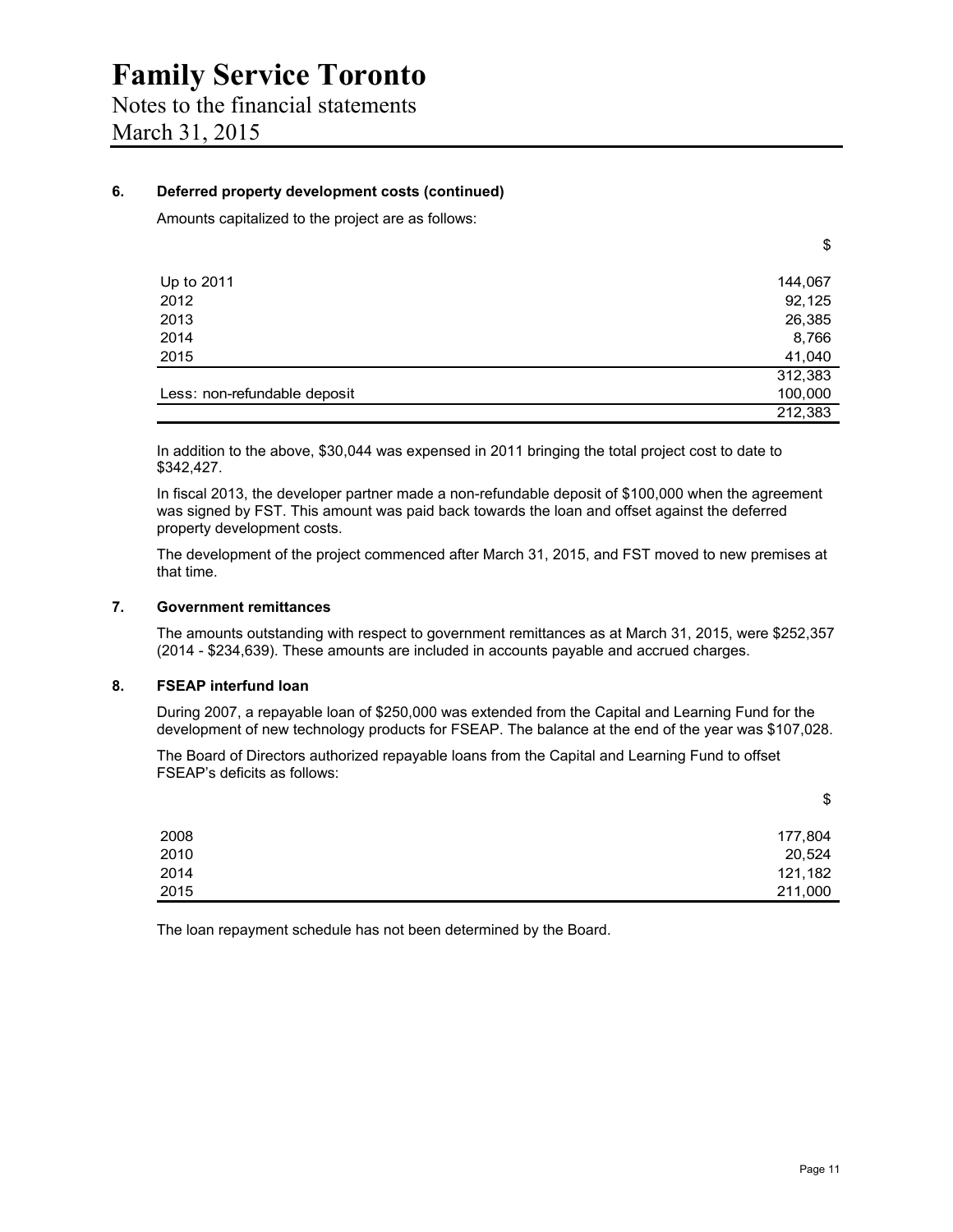#### **6. Deferred property development costs (continued)**

Amounts capitalized to the project are as follows:

| Up to 2011                   | 144,067 |
|------------------------------|---------|
| 2012                         | 92,125  |
| 2013                         | 26,385  |
| 2014                         | 8,766   |
| 2015                         | 41,040  |
|                              | 312,383 |
| Less: non-refundable deposit | 100,000 |
|                              | 212,383 |

In addition to the above, \$30,044 was expensed in 2011 bringing the total project cost to date to \$342,427.

In fiscal 2013, the developer partner made a non-refundable deposit of \$100,000 when the agreement was signed by FST. This amount was paid back towards the loan and offset against the deferred property development costs.

The development of the project commenced after March 31, 2015, and FST moved to new premises at that time.

#### **7. Government remittances**

The amounts outstanding with respect to government remittances as at March 31, 2015, were \$252,357 (2014 - \$234,639). These amounts are included in accounts payable and accrued charges.

#### **8. FSEAP interfund loan**

During 2007, a repayable loan of \$250,000 was extended from the Capital and Learning Fund for the development of new technology products for FSEAP. The balance at the end of the year was \$107,028.

The Board of Directors authorized repayable loans from the Capital and Learning Fund to offset FSEAP's deficits as follows:

|      | \$      |
|------|---------|
| 2008 | 177,804 |
| 2010 | 20,524  |
| 2014 | 121,182 |
| 2015 | 211,000 |

The loan repayment schedule has not been determined by the Board.

\$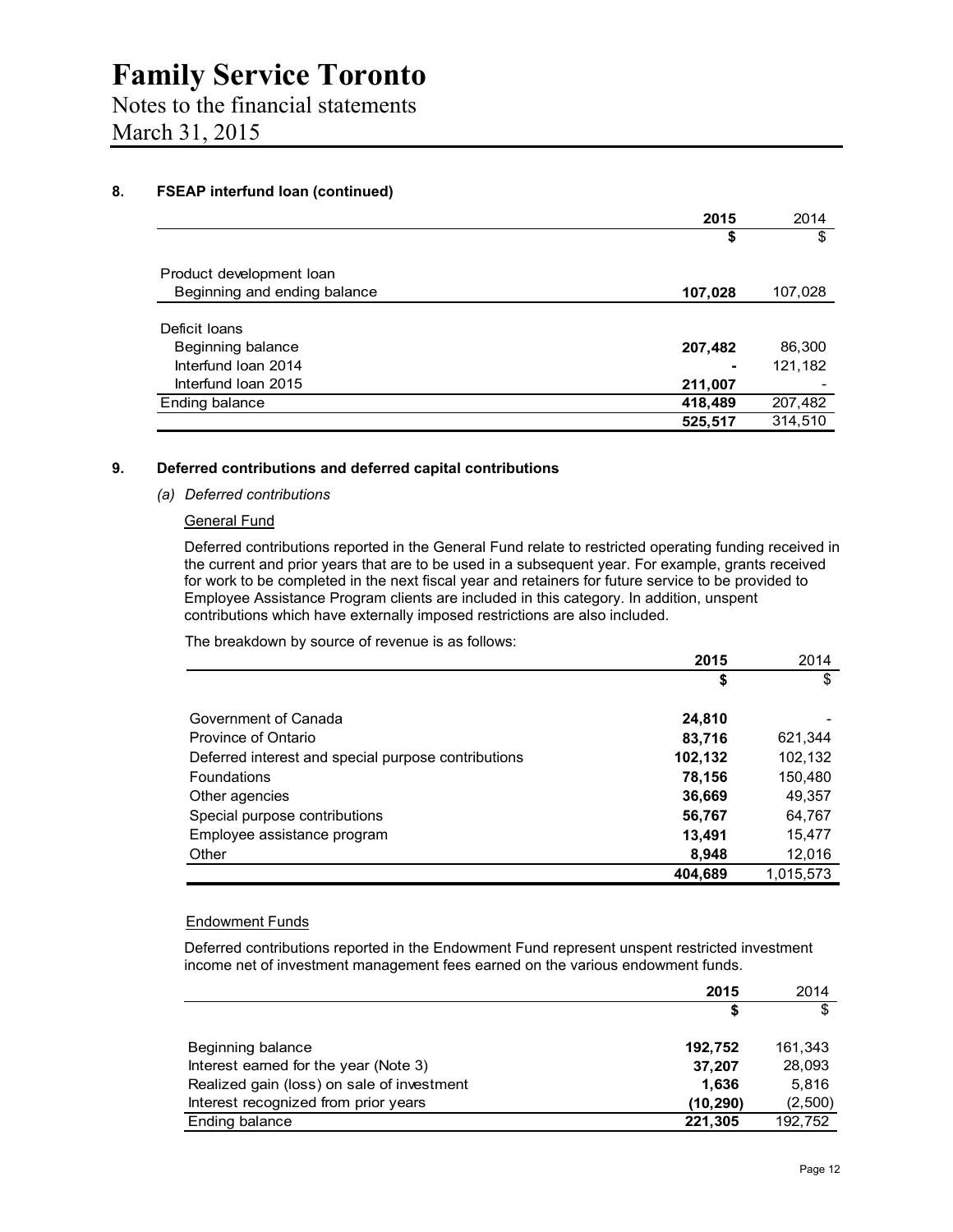### Notes to the financial statements March 31, 2015

**8. FSEAP interfund loan (continued)** 

|                              | 2015    | 2014    |
|------------------------------|---------|---------|
|                              | \$      | \$      |
| Product development loan     |         |         |
| Beginning and ending balance | 107,028 | 107,028 |
|                              |         |         |
| Deficit Ioans                |         |         |
| Beginning balance            | 207,482 | 86,300  |
| Interfund Ioan 2014          |         | 121,182 |
| Interfund Ioan 2015          | 211,007 |         |
| Ending balance               | 418,489 | 207,482 |
|                              | 525,517 | 314.510 |

#### **9. Deferred contributions and deferred capital contributions**

#### *(a) Deferred contributions*

#### General Fund

Deferred contributions reported in the General Fund relate to restricted operating funding received in the current and prior years that are to be used in a subsequent year. For example, grants received for work to be completed in the next fiscal year and retainers for future service to be provided to Employee Assistance Program clients are included in this category. In addition, unspent contributions which have externally imposed restrictions are also included.

The breakdown by source of revenue is as follows:

|                                                     | 2015    | 2014      |
|-----------------------------------------------------|---------|-----------|
|                                                     | \$      | \$        |
| Government of Canada                                | 24,810  |           |
| Province of Ontario                                 | 83,716  | 621,344   |
| Deferred interest and special purpose contributions | 102,132 | 102,132   |
| Foundations                                         | 78,156  | 150,480   |
| Other agencies                                      | 36,669  | 49,357    |
| Special purpose contributions                       | 56,767  | 64,767    |
| Employee assistance program                         | 13,491  | 15,477    |
| Other                                               | 8,948   | 12,016    |
|                                                     | 404.689 | 1,015,573 |

#### Endowment Funds

Deferred contributions reported in the Endowment Fund represent unspent restricted investment income net of investment management fees earned on the various endowment funds.

|                                            | 2015      | 2014    |
|--------------------------------------------|-----------|---------|
|                                            | S         | \$      |
| Beginning balance                          | 192.752   | 161.343 |
| Interest earned for the year (Note 3)      | 37,207    | 28.093  |
| Realized gain (loss) on sale of investment | 1.636     | 5.816   |
| Interest recognized from prior years       | (10, 290) | (2,500) |
| Ending balance                             | 221,305   | 192,752 |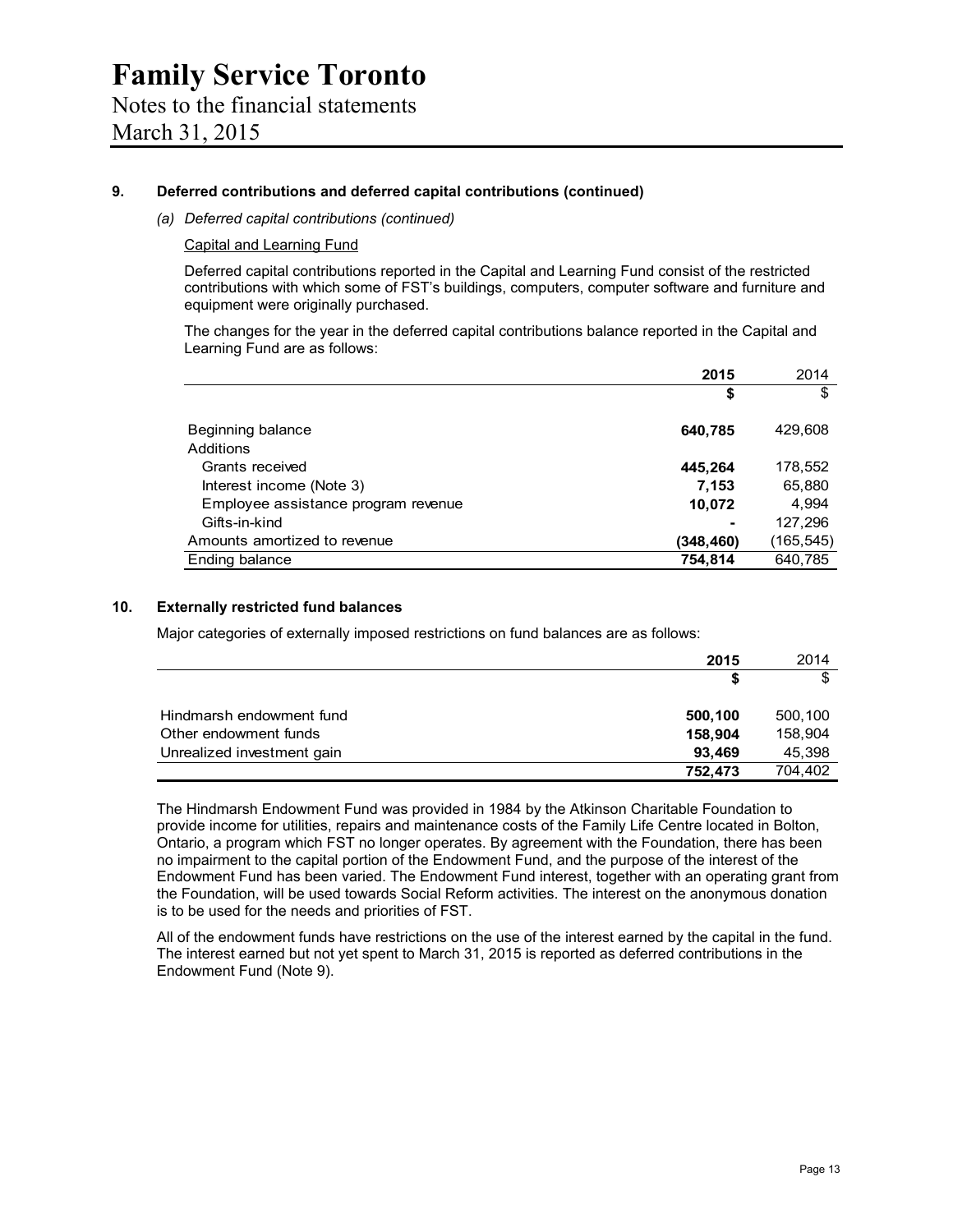#### **9. Deferred contributions and deferred capital contributions (continued)**

*(a) Deferred capital contributions (continued)* 

Capital and Learning Fund

Deferred capital contributions reported in the Capital and Learning Fund consist of the restricted contributions with which some of FST's buildings, computers, computer software and furniture and equipment were originally purchased.

The changes for the year in the deferred capital contributions balance reported in the Capital and Learning Fund are as follows:

|                                     | 2015      | 2014       |
|-------------------------------------|-----------|------------|
|                                     | \$        | \$         |
| Beginning balance                   | 640,785   | 429,608    |
| Additions                           |           |            |
| Grants received                     | 445,264   | 178,552    |
| Interest income (Note 3)            | 7.153     | 65,880     |
| Employee assistance program revenue | 10,072    | 4.994      |
| Gifts-in-kind                       |           | 127,296    |
| Amounts amortized to revenue        | (348,460) | (165, 545) |
| Ending balance                      | 754,814   | 640,785    |

#### **10. Externally restricted fund balances**

Major categories of externally imposed restrictions on fund balances are as follows:

|                            | 2015    | 2014    |
|----------------------------|---------|---------|
|                            |         | \$      |
| Hindmarsh endowment fund   | 500,100 | 500,100 |
| Other endowment funds      | 158,904 | 158.904 |
| Unrealized investment gain | 93.469  | 45,398  |
|                            | 752.473 | 704,402 |

The Hindmarsh Endowment Fund was provided in 1984 by the Atkinson Charitable Foundation to provide income for utilities, repairs and maintenance costs of the Family Life Centre located in Bolton, Ontario, a program which FST no longer operates. By agreement with the Foundation, there has been no impairment to the capital portion of the Endowment Fund, and the purpose of the interest of the Endowment Fund has been varied. The Endowment Fund interest, together with an operating grant from the Foundation, will be used towards Social Reform activities. The interest on the anonymous donation is to be used for the needs and priorities of FST.

All of the endowment funds have restrictions on the use of the interest earned by the capital in the fund. The interest earned but not yet spent to March 31, 2015 is reported as deferred contributions in the Endowment Fund (Note 9).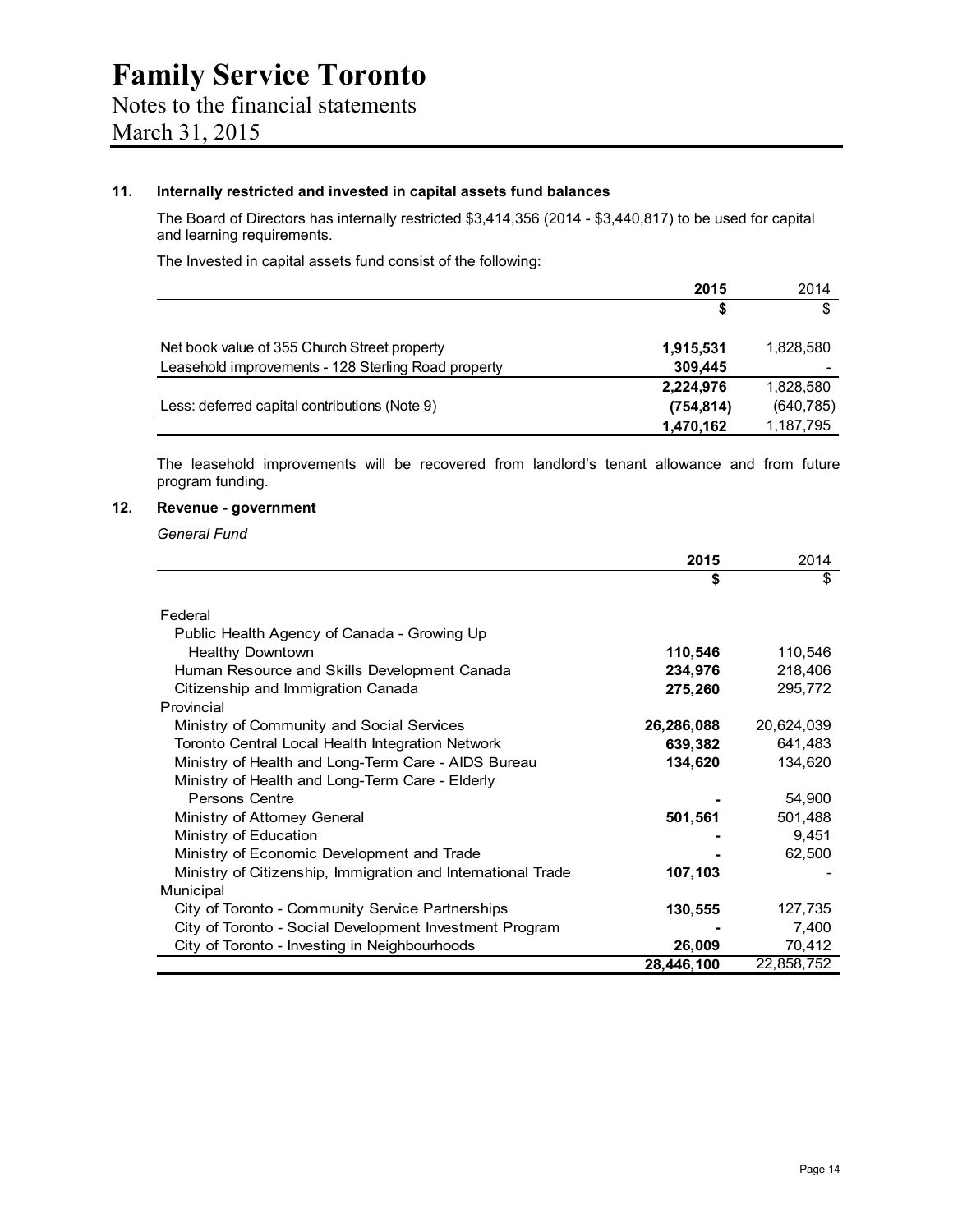#### **11. Internally restricted and invested in capital assets fund balances**

The Board of Directors has internally restricted \$3,414,356 (2014 - \$3,440,817) to be used for capital and learning requirements.

The Invested in capital assets fund consist of the following:

|                                                     | 2015       | 2014       |
|-----------------------------------------------------|------------|------------|
|                                                     | S          | \$         |
| Net book value of 355 Church Street property        | 1,915,531  | 1.828.580  |
| Leasehold improvements - 128 Sterling Road property | 309,445    |            |
|                                                     | 2,224,976  | 1,828,580  |
| Less: deferred capital contributions (Note 9)       | (754, 814) | (640, 785) |
|                                                     | 1,470,162  | 1,187,795  |

The leasehold improvements will be recovered from landlord's tenant allowance and from future program funding.

#### **12. Revenue - government**

*General Fund* 

|                                                              | 2015       | 2014       |
|--------------------------------------------------------------|------------|------------|
|                                                              | \$         | \$         |
|                                                              |            |            |
| Federal                                                      |            |            |
| Public Health Agency of Canada - Growing Up                  |            |            |
| <b>Healthy Downtown</b>                                      | 110,546    | 110,546    |
| Human Resource and Skills Development Canada                 | 234,976    | 218,406    |
| Citizenship and Immigration Canada                           | 275,260    | 295,772    |
| Provincial                                                   |            |            |
| Ministry of Community and Social Services                    | 26,286,088 | 20,624,039 |
| Toronto Central Local Health Integration Network             | 639,382    | 641,483    |
| Ministry of Health and Long-Term Care - AIDS Bureau          | 134,620    | 134,620    |
| Ministry of Health and Long-Term Care - Elderly              |            |            |
| Persons Centre                                               |            | 54,900     |
| Ministry of Attorney General                                 | 501,561    | 501,488    |
| Ministry of Education                                        |            | 9,451      |
| Ministry of Economic Development and Trade                   |            | 62,500     |
| Ministry of Citizenship, Immigration and International Trade | 107,103    |            |
| Municipal                                                    |            |            |
| City of Toronto - Community Service Partnerships             | 130,555    | 127,735    |
| City of Toronto - Social Development Investment Program      |            | 7,400      |
| City of Toronto - Investing in Neighbourhoods                | 26,009     | 70,412     |
|                                                              | 28,446,100 | 22,858,752 |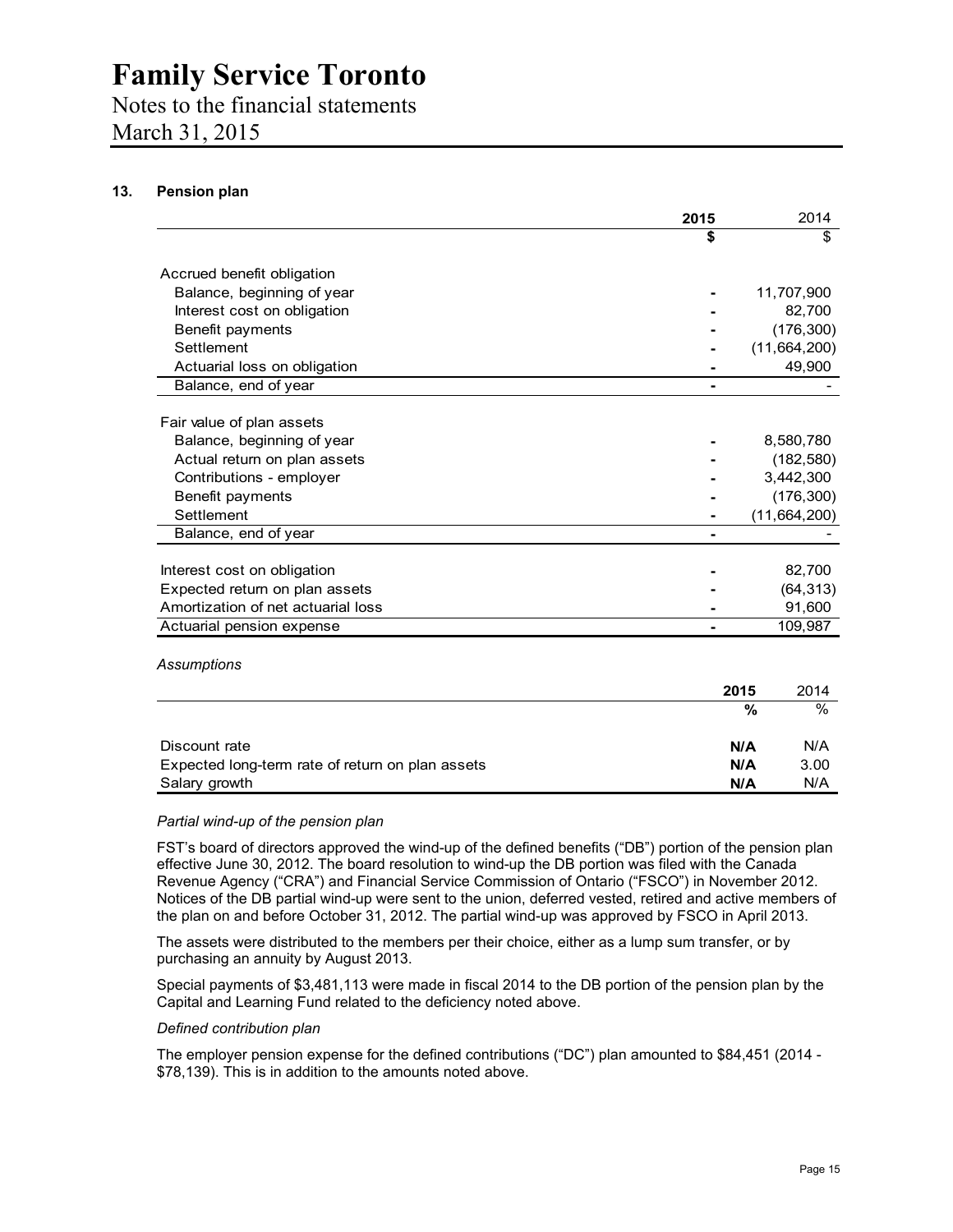### Notes to the financial statements

March 31, 2015

#### **13. Pension plan**

|                                                  | 2015 |      | 2014           |
|--------------------------------------------------|------|------|----------------|
|                                                  | \$   |      | \$             |
| Accrued benefit obligation                       |      |      |                |
| Balance, beginning of year                       |      |      | 11,707,900     |
| Interest cost on obligation                      |      |      | 82,700         |
| Benefit payments                                 |      |      | (176, 300)     |
| Settlement                                       |      |      | (11,664,200)   |
| Actuarial loss on obligation                     |      |      | 49,900         |
| Balance, end of year                             |      |      |                |
| Fair value of plan assets                        |      |      |                |
| Balance, beginning of year                       |      |      | 8,580,780      |
| Actual return on plan assets                     |      |      | (182, 580)     |
| Contributions - employer                         |      |      | 3,442,300      |
| Benefit payments                                 |      |      | (176, 300)     |
| Settlement                                       |      |      | (11, 664, 200) |
| Balance, end of year                             |      |      |                |
| Interest cost on obligation                      |      |      | 82,700         |
| Expected return on plan assets                   |      |      | (64, 313)      |
| Amortization of net actuarial loss               |      |      | 91,600         |
| Actuarial pension expense                        |      |      | 109,987        |
| Assumptions                                      |      |      |                |
|                                                  |      | 2015 | 2014           |
|                                                  |      | %    | %              |
| Discount rate                                    |      | N/A  | N/A            |
| Expected long-term rate of return on plan assets |      | N/A  | 3.00           |
| Salary growth                                    |      | N/A  | N/A            |

#### *Partial wind-up of the pension plan*

FST's board of directors approved the wind-up of the defined benefits ("DB") portion of the pension plan effective June 30, 2012. The board resolution to wind-up the DB portion was filed with the Canada Revenue Agency ("CRA") and Financial Service Commission of Ontario ("FSCO") in November 2012. Notices of the DB partial wind-up were sent to the union, deferred vested, retired and active members of the plan on and before October 31, 2012. The partial wind-up was approved by FSCO in April 2013.

The assets were distributed to the members per their choice, either as a lump sum transfer, or by purchasing an annuity by August 2013.

Special payments of \$3,481,113 were made in fiscal 2014 to the DB portion of the pension plan by the Capital and Learning Fund related to the deficiency noted above.

#### *Defined contribution plan*

The employer pension expense for the defined contributions ("DC") plan amounted to \$84,451 (2014 - \$78,139). This is in addition to the amounts noted above.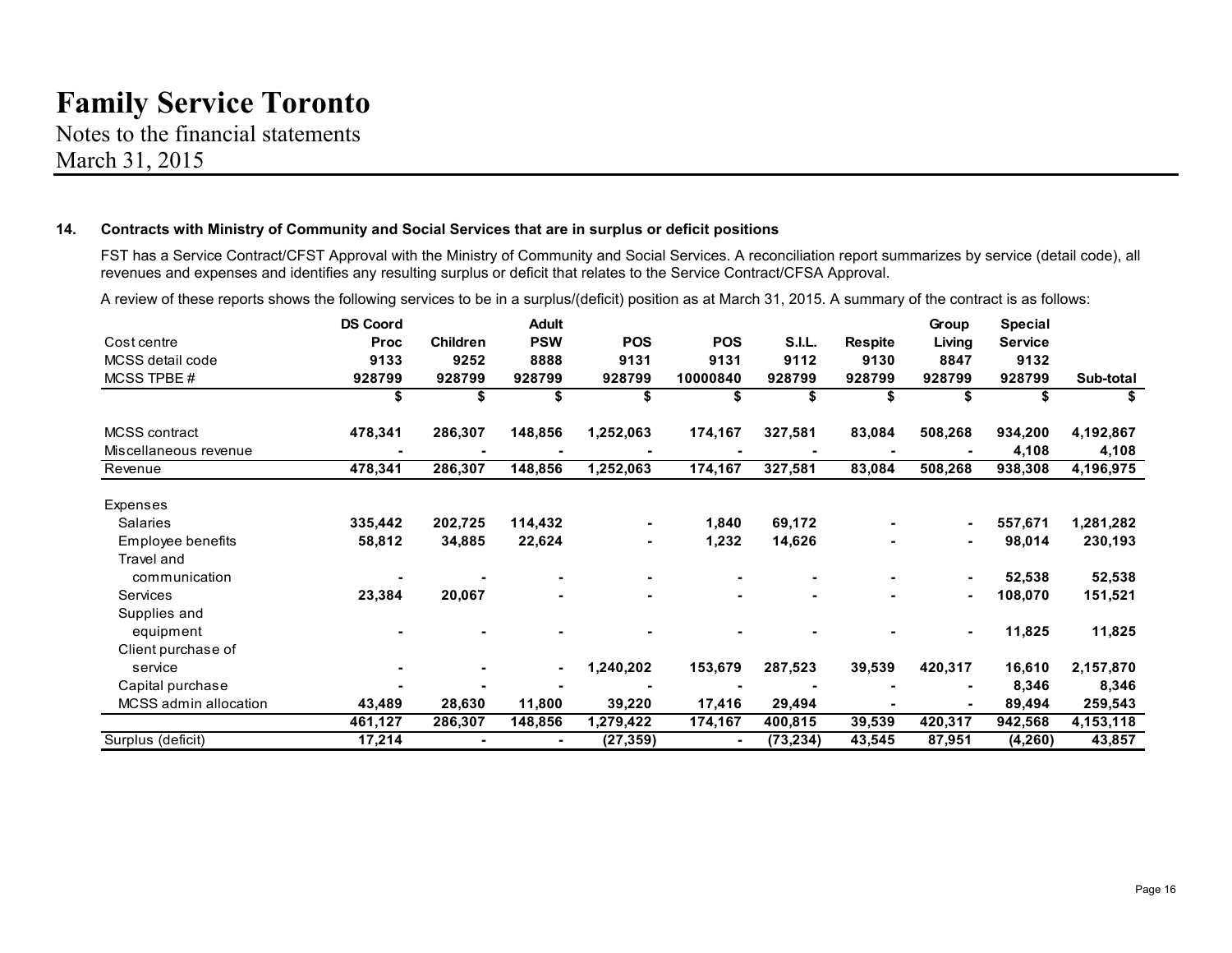Notes to the financial statements March 31, 2015

#### **14. Contracts with Ministry of Community and Social Services that are in surplus or deficit positions**

FST has a Service Contract/CFST Approval with the Ministry of Community and Social Services. A reconciliation report summarizes by service (detail code), all revenues and expenses and identifies any resulting surplus or deficit that relates to the Service Contract/CFSA Approval.

|                       | <b>DS Coord</b> |                 | <b>Adult</b>   |            |            |               |                | Group          | <b>Special</b> |           |
|-----------------------|-----------------|-----------------|----------------|------------|------------|---------------|----------------|----------------|----------------|-----------|
| Cost centre           | <b>Proc</b>     | <b>Children</b> | <b>PSW</b>     | <b>POS</b> | <b>POS</b> | <b>S.I.L.</b> | <b>Respite</b> | Living         | <b>Service</b> |           |
| MCSS detail code      | 9133            | 9252            | 8888           | 9131       | 9131       | 9112          | 9130           | 8847           | 9132           |           |
| MCSS TPBE#            | 928799          | 928799          | 928799         | 928799     | 10000840   | 928799        | 928799         | 928799         | 928799         | Sub-total |
|                       | S               | \$              | \$             |            |            |               |                | \$             | S              | S         |
| MCSS contract         | 478,341         | 286,307         | 148,856        | 1,252,063  | 174,167    | 327,581       | 83,084         | 508,268        | 934,200        | 4,192,867 |
| Miscellaneous revenue |                 |                 |                |            |            |               |                |                | 4,108          | 4,108     |
| Revenue               | 478,341         | 286,307         | 148,856        | 1,252,063  | 174,167    | 327,581       | 83,084         | 508,268        | 938,308        | 4,196,975 |
| Expenses              |                 |                 |                |            |            |               |                |                |                |           |
| <b>Salaries</b>       | 335,442         | 202,725         | 114,432        |            | 1,840      | 69,172        |                | $\blacksquare$ | 557,671        | 1,281,282 |
| Employee benefits     | 58,812          | 34,885          | 22,624         |            | 1,232      | 14,626        |                | $\blacksquare$ | 98,014         | 230,193   |
| Travel and            |                 |                 |                |            |            |               |                |                |                |           |
| communication         |                 |                 |                |            |            |               |                |                | 52,538         | 52,538    |
| Services              | 23,384          | 20,067          |                |            |            |               |                | $\blacksquare$ | 108,070        | 151,521   |
| Supplies and          |                 |                 |                |            |            |               |                |                |                |           |
| equipment             |                 |                 |                |            |            |               |                |                | 11,825         | 11,825    |
| Client purchase of    |                 |                 |                |            |            |               |                |                |                |           |
| service               |                 |                 | $\blacksquare$ | 1,240,202  | 153,679    | 287,523       | 39,539         | 420,317        | 16,610         | 2,157,870 |
| Capital purchase      |                 |                 |                |            |            |               |                | $\blacksquare$ | 8,346          | 8,346     |
| MCSS admin allocation | 43,489          | 28,630          | 11,800         | 39,220     | 17,416     | 29,494        |                |                | 89,494         | 259,543   |
|                       | 461,127         | 286,307         | 148,856        | 1,279,422  | 174,167    | 400,815       | 39,539         | 420,317        | 942,568        | 4,153,118 |
| Surplus (deficit)     | 17,214          |                 |                | (27, 359)  |            | (73, 234)     | 43,545         | 87,951         | (4,260)        | 43,857    |

A review of these reports shows the following services to be in a surplus/(deficit) position as at March 31, 2015. A summary of the contract is as follows: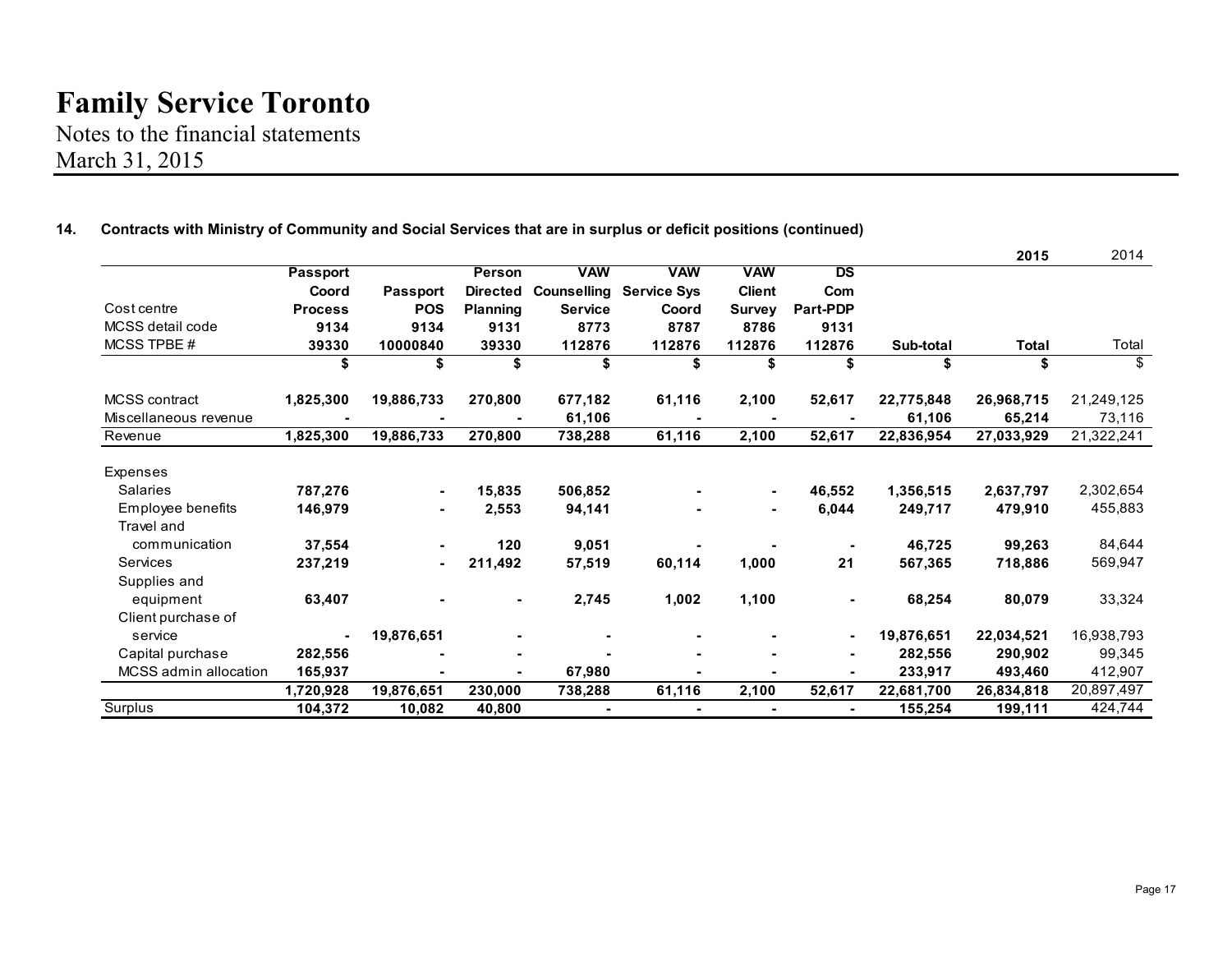Notes to the financial statements March 31, 2015

|                       |                 |                          |                 |                    |                    |                          |                 |            | 2015         | 2014       |
|-----------------------|-----------------|--------------------------|-----------------|--------------------|--------------------|--------------------------|-----------------|------------|--------------|------------|
|                       | <b>Passport</b> |                          | Person          | <b>VAW</b>         | <b>VAW</b>         | <b>VAW</b>               | $\overline{DS}$ |            |              |            |
|                       | Coord           | <b>Passport</b>          | <b>Directed</b> | <b>Counselling</b> | <b>Service Sys</b> | <b>Client</b>            | Com             |            |              |            |
| Cost centre           | <b>Process</b>  | <b>POS</b>               | <b>Planning</b> | <b>Service</b>     | Coord              | <b>Survey</b>            | Part-PDP        |            |              |            |
| MCSS detail code      | 9134            | 9134                     | 9131            | 8773               | 8787               | 8786                     | 9131            |            |              |            |
| MCSS TPBE #           | 39330           | 10000840                 | 39330           | 112876             | 112876             | 112876                   | 112876          | Sub-total  | <b>Total</b> | Total      |
|                       | \$              | \$                       | \$              | \$                 | \$                 | \$                       | \$              | \$         | \$           | \$         |
| MCSS contract         | 1,825,300       | 19,886,733               | 270,800         | 677,182            | 61,116             | 2,100                    | 52,617          | 22,775,848 | 26,968,715   | 21,249,125 |
| Miscellaneous revenue |                 |                          |                 | 61,106             |                    |                          |                 | 61,106     | 65,214       | 73,116     |
| Revenue               | 1,825,300       | 19,886,733               | 270,800         | 738,288            | 61,116             | 2,100                    | 52,617          | 22,836,954 | 27,033,929   | 21,322,241 |
| Expenses              |                 |                          |                 |                    |                    |                          |                 |            |              |            |
| <b>Salaries</b>       | 787,276         | $\blacksquare$           | 15,835          | 506,852            |                    | $\blacksquare$           | 46,552          | 1,356,515  | 2,637,797    | 2,302,654  |
| Employee benefits     | 146,979         |                          | 2,553           | 94,141             |                    | $\blacksquare$           | 6,044           | 249,717    | 479,910      | 455,883    |
| <b>Travel and</b>     |                 |                          |                 |                    |                    |                          |                 |            |              |            |
| communication         | 37,554          |                          | 120             | 9,051              |                    |                          |                 | 46,725     | 99,263       | 84,644     |
| Services              | 237,219         | $\overline{\phantom{0}}$ | 211,492         | 57,519             | 60,114             | 1,000                    | 21              | 567,365    | 718,886      | 569,947    |
| Supplies and          |                 |                          |                 |                    |                    |                          |                 |            |              |            |
| equipment             | 63,407          |                          | -               | 2,745              | 1,002              | 1,100                    |                 | 68,254     | 80,079       | 33,324     |
| Client purchase of    |                 |                          |                 |                    |                    |                          |                 |            |              |            |
| service               |                 | 19,876,651               |                 |                    |                    |                          |                 | 19,876,651 | 22,034,521   | 16,938,793 |
| Capital purchase      | 282,556         |                          | $\blacksquare$  |                    |                    |                          |                 | 282,556    | 290,902      | 99,345     |
| MCSS admin allocation | 165,937         |                          | $\blacksquare$  | 67,980             |                    | $\overline{\phantom{0}}$ |                 | 233,917    | 493,460      | 412,907    |
|                       | 1,720,928       | 19,876,651               | 230,000         | 738,288            | 61,116             | 2,100                    | 52,617          | 22,681,700 | 26,834,818   | 20,897,497 |
| Surplus               | 104,372         | 10,082                   | 40,800          | $\blacksquare$     | $\blacksquare$     | $\blacksquare$           | $\blacksquare$  | 155,254    | 199,111      | 424,744    |

#### **14. Contracts with Ministry of Community and Social Services that are in surplus or deficit positions (continued)**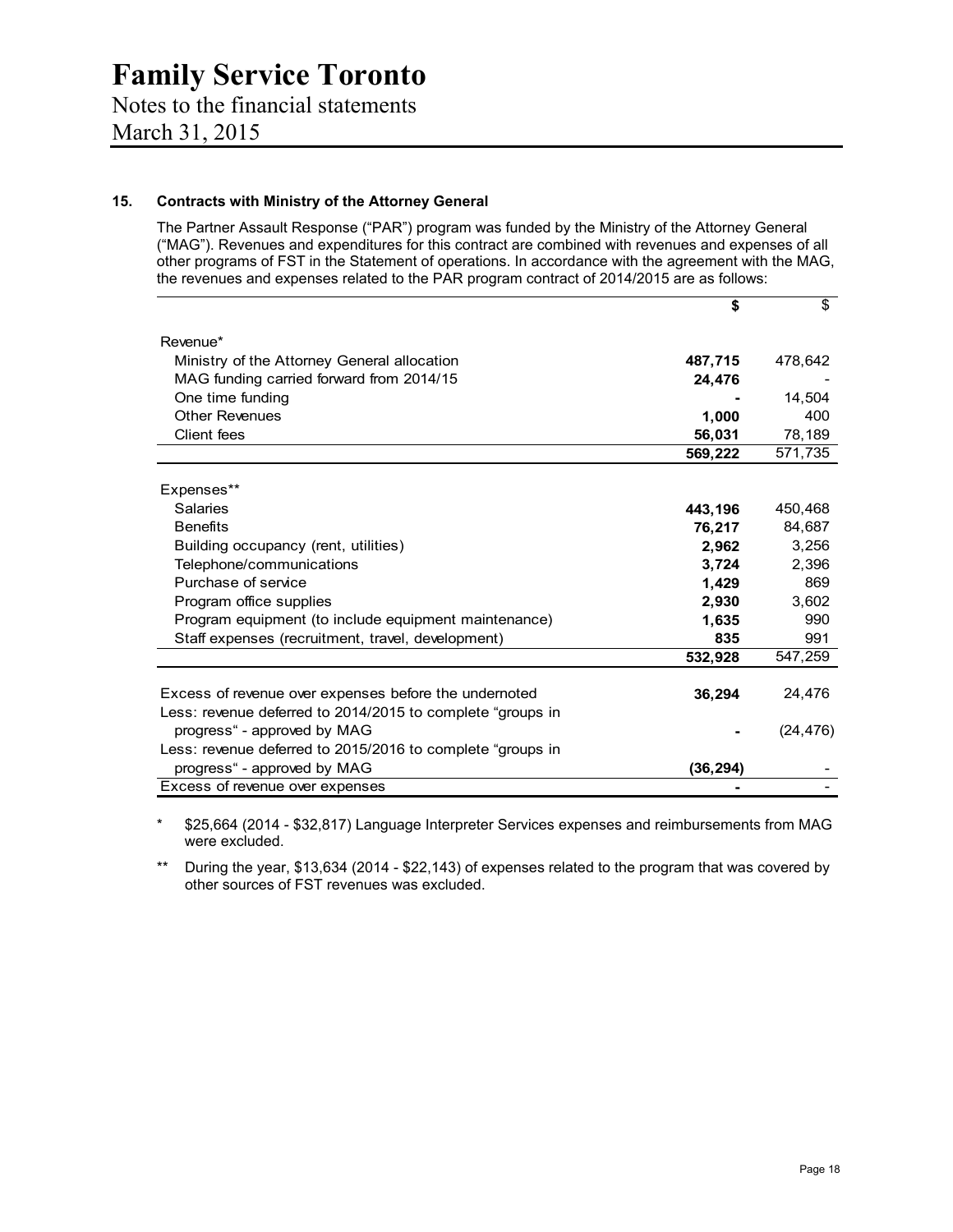### Notes to the financial statements March 31, 2015

#### **15. Contracts with Ministry of the Attorney General**

The Partner Assault Response ("PAR") program was funded by the Ministry of the Attorney General ("MAG"). Revenues and expenditures for this contract are combined with revenues and expenses of all other programs of FST in the Statement of operations. In accordance with the agreement with the MAG, the revenues and expenses related to the PAR program contract of 2014/2015 are as follows:

|                                                            | \$        | \$        |
|------------------------------------------------------------|-----------|-----------|
| Revenue*                                                   |           |           |
| Ministry of the Attorney General allocation                | 487,715   | 478,642   |
| MAG funding carried forward from 2014/15                   | 24,476    |           |
| One time funding                                           |           | 14,504    |
| <b>Other Revenues</b>                                      | 1,000     | 400       |
| Client fees                                                | 56,031    | 78,189    |
|                                                            | 569,222   | 571,735   |
| Expenses**                                                 |           |           |
| Salaries                                                   | 443,196   | 450,468   |
| <b>Benefits</b>                                            | 76,217    | 84,687    |
| Building occupancy (rent, utilities)                       | 2,962     | 3,256     |
| Telephone/communications                                   | 3,724     | 2,396     |
| Purchase of service                                        | 1,429     | 869       |
| Program office supplies                                    | 2,930     | 3,602     |
| Program equipment (to include equipment maintenance)       | 1,635     | 990       |
| Staff expenses (recruitment, travel, development)          | 835       | 991       |
|                                                            | 532,928   | 547,259   |
| Excess of revenue over expenses before the undernoted      | 36,294    | 24,476    |
| Less: revenue deferred to 2014/2015 to complete "groups in |           |           |
| progress" - approved by MAG                                |           | (24, 476) |
| Less: revenue deferred to 2015/2016 to complete "groups in |           |           |
| progress" - approved by MAG                                | (36, 294) |           |
| Excess of revenue over expenses                            |           |           |

\* \$25,664 (2014 - \$32,817) Language Interpreter Services expenses and reimbursements from MAG were excluded.

\*\* During the year, \$13,634 (2014 - \$22,143) of expenses related to the program that was covered by other sources of FST revenues was excluded.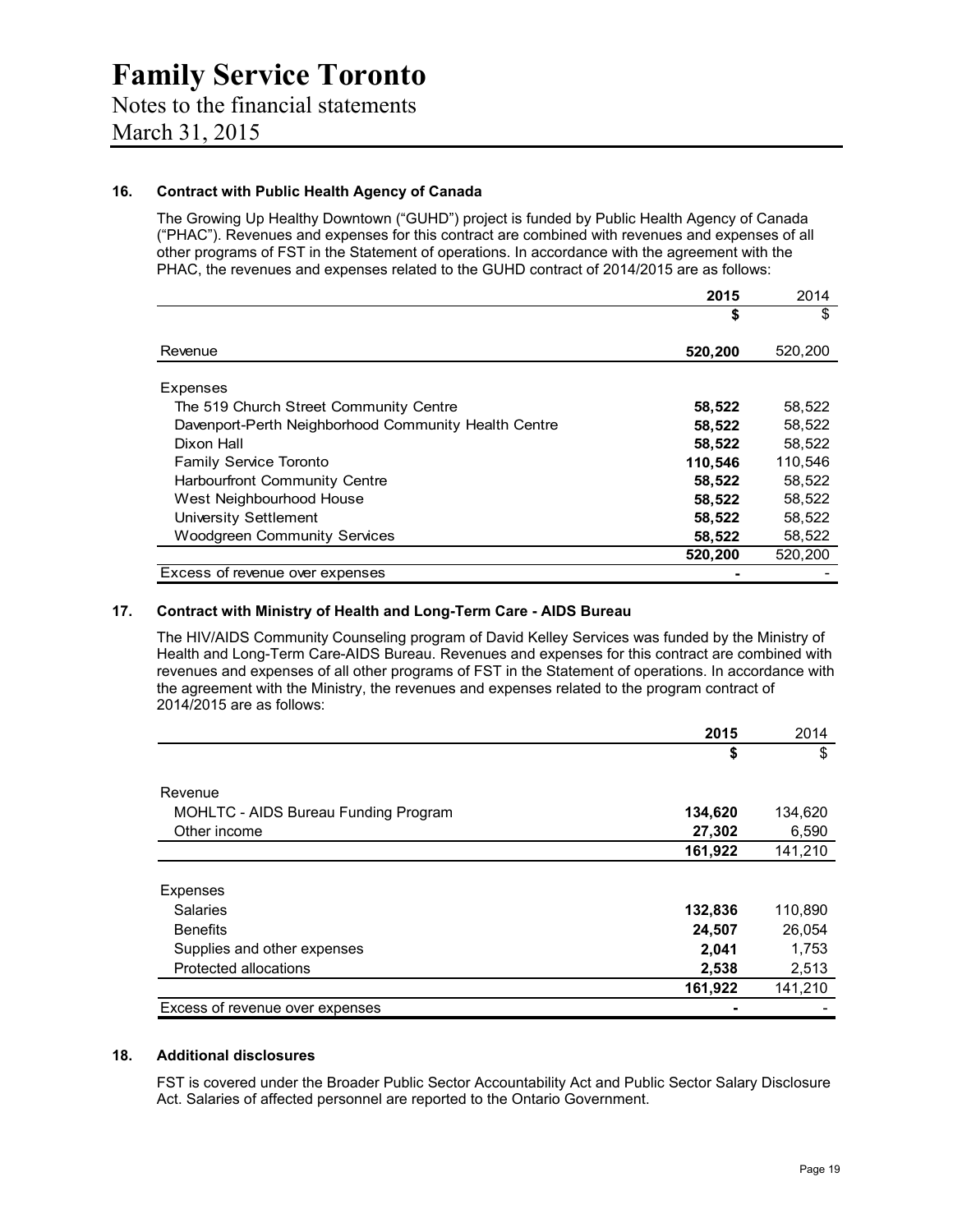#### **16. Contract with Public Health Agency of Canada**

The Growing Up Healthy Downtown ("GUHD") project is funded by Public Health Agency of Canada ("PHAC"). Revenues and expenses for this contract are combined with revenues and expenses of all other programs of FST in the Statement of operations. In accordance with the agreement with the PHAC, the revenues and expenses related to the GUHD contract of 2014/2015 are as follows:

|                                                      | 2015    | 2014    |
|------------------------------------------------------|---------|---------|
|                                                      | \$      | \$      |
| Revenue                                              | 520,200 | 520,200 |
| Expenses                                             |         |         |
| The 519 Church Street Community Centre               | 58,522  | 58,522  |
| Davenport-Perth Neighborhood Community Health Centre | 58,522  | 58,522  |
| Dixon Hall                                           | 58,522  | 58,522  |
| <b>Family Service Toronto</b>                        | 110.546 | 110.546 |
| Harbourfront Community Centre                        | 58,522  | 58,522  |
| West Neighbourhood House                             | 58,522  | 58,522  |
| University Settlement                                | 58,522  | 58,522  |
| <b>Woodgreen Community Services</b>                  | 58,522  | 58,522  |
|                                                      | 520,200 | 520,200 |
| Excess of revenue over expenses                      |         |         |

#### **17. Contract with Ministry of Health and Long-Term Care - AIDS Bureau**

The HIV/AIDS Community Counseling program of David Kelley Services was funded by the Ministry of Health and Long-Term Care-AIDS Bureau. Revenues and expenses for this contract are combined with revenues and expenses of all other programs of FST in the Statement of operations. In accordance with the agreement with the Ministry, the revenues and expenses related to the program contract of 2014/2015 are as follows:

|                                      | 2015    | 2014    |
|--------------------------------------|---------|---------|
|                                      | \$      | \$      |
| Revenue                              |         |         |
| MOHLTC - AIDS Bureau Funding Program | 134,620 | 134,620 |
| Other income                         | 27,302  | 6,590   |
|                                      | 161,922 | 141,210 |
|                                      |         |         |
| Expenses                             |         |         |
| <b>Salaries</b>                      | 132,836 | 110,890 |
| <b>Benefits</b>                      | 24,507  | 26,054  |
| Supplies and other expenses          | 2,041   | 1,753   |
| Protected allocations                | 2,538   | 2,513   |
|                                      | 161,922 | 141,210 |
| Excess of revenue over expenses      |         |         |

#### **18. Additional disclosures**

FST is covered under the Broader Public Sector Accountability Act and Public Sector Salary Disclosure Act. Salaries of affected personnel are reported to the Ontario Government.